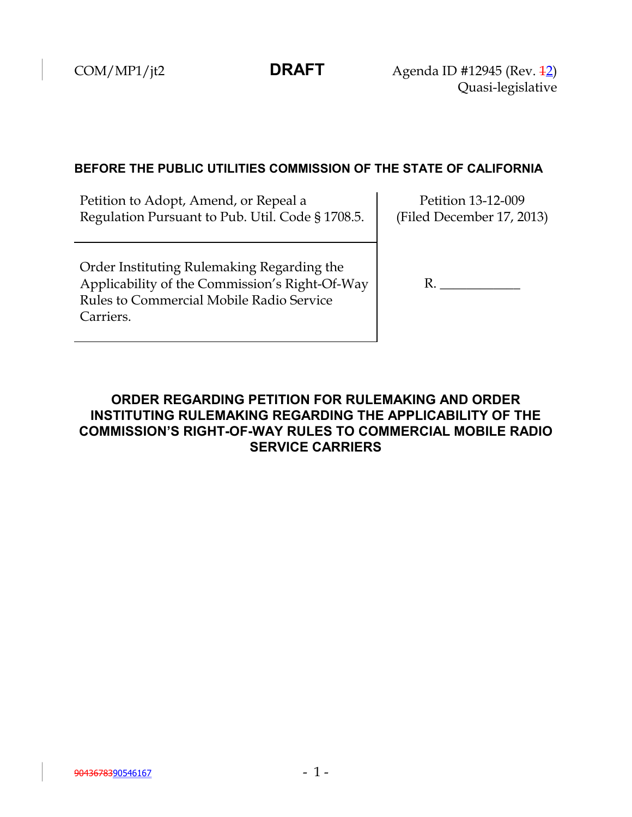COM/MP1/jt2 **DRAFT** Agenda ID #12945 (Rev. <del>12</del>) Quasi-legislative

## **BEFORE THE PUBLIC UTILITIES COMMISSION OF THE STATE OF CALIFORNIA**

Petition to Adopt, Amend, or Repeal a Regulation Pursuant to Pub. Util. Code § 1708.5.

Petition 13-12-009 (Filed December 17, 2013)

Order Instituting Rulemaking Regarding the Applicability of the Commission's Right-Of-Way Rules to Commercial Mobile Radio Service Carriers.

R. \_\_\_\_\_\_\_\_\_\_\_\_

# **ORDER REGARDING PETITION FOR RULEMAKING AND ORDER INSTITUTING RULEMAKING REGARDING THE APPLICABILITY OF THE COMMISSION'S RIGHT-OF-WAY RULES TO COMMERCIAL MOBILE RADIO SERVICE CARRIERS**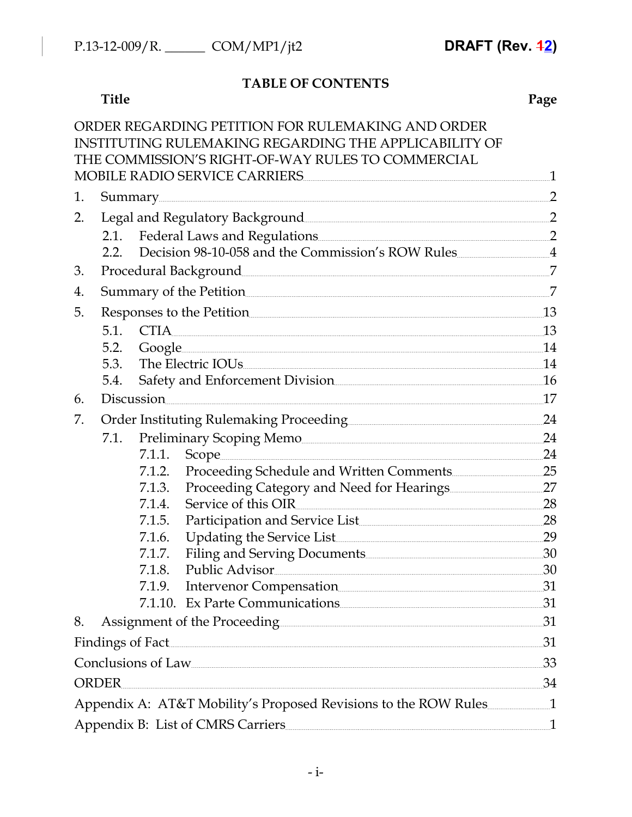# **TABLE OF CONTENTS**

### **Title Page**

|    |                                            |        | ORDER REGARDING PETITION FOR RULEMAKING AND ORDER                                                                                                                                                                                    |                 |
|----|--------------------------------------------|--------|--------------------------------------------------------------------------------------------------------------------------------------------------------------------------------------------------------------------------------------|-----------------|
|    |                                            |        | INSTITUTING RULEMAKING REGARDING THE APPLICABILITY OF                                                                                                                                                                                |                 |
|    |                                            |        | THE COMMISSION'S RIGHT-OF-WAY RULES TO COMMERCIAL                                                                                                                                                                                    | $\mathbf{1}$    |
|    | MOBILE RADIO SERVICE CARRIERS              |        |                                                                                                                                                                                                                                      |                 |
| 1. |                                            |        | Summary 2                                                                                                                                                                                                                            |                 |
| 2. |                                            |        |                                                                                                                                                                                                                                      |                 |
|    |                                            |        | 2.1. Federal Laws and Regulations 2014 2015                                                                                                                                                                                          |                 |
|    |                                            |        | 2.2. Decision 98-10-058 and the Commission's ROW Rules 4                                                                                                                                                                             |                 |
| 3. |                                            |        |                                                                                                                                                                                                                                      |                 |
| 4. | Summary of the Petition 27                 |        |                                                                                                                                                                                                                                      |                 |
| 5. | Responses to the Petition                  |        |                                                                                                                                                                                                                                      | 13              |
|    | 5.1.                                       |        | $\text{CTIA} \text{---}$                                                                                                                                                                                                             | 13              |
|    | 5.2.                                       |        | Google 14                                                                                                                                                                                                                            |                 |
|    | 5.3.                                       |        | The Electric IOUs <b>Contained Act and Act and Act of Act and Act and Act and Act and Act and Act and Act and Act and Act and Act and Act and Act and Act and Act and Act and Act and Act and Act and Act and Act and Act and Ac</b> | $\overline{14}$ |
|    | 5.4.                                       |        | Safety and Enforcement Division<br>16                                                                                                                                                                                                |                 |
| 6. |                                            |        | Discussion                                                                                                                                                                                                                           | 17              |
| 7. | Order Instituting Rulemaking Proceeding 24 |        |                                                                                                                                                                                                                                      |                 |
|    | 7.1.                                       |        | Preliminary Scoping Memo                                                                                                                                                                                                             |                 |
|    |                                            |        | 7.1.1. Scope                                                                                                                                                                                                                         | 24              |
|    |                                            |        | 7.1.2. Proceeding Schedule and Written Comments 25                                                                                                                                                                                   |                 |
|    |                                            |        | 7.1.3. Proceeding Category and Need for Hearings                                                                                                                                                                                     |                 |
|    |                                            | 7.1.4. | Service of this OIR                                                                                                                                                                                                                  | 28              |
|    |                                            | 7.1.5. | Participation and Service List 28                                                                                                                                                                                                    |                 |
|    |                                            | 7.1.6. | Updating the Service List 29                                                                                                                                                                                                         |                 |
|    |                                            | 7.1.7. | Filing and Serving Documents 30                                                                                                                                                                                                      |                 |
|    |                                            | 7.1.8. | Public Advisor 30                                                                                                                                                                                                                    |                 |
|    |                                            |        | 7.1.9. Intervenor Compensation 31                                                                                                                                                                                                    |                 |
|    |                                            |        | 7.1.10. Ex Parte Communications 31                                                                                                                                                                                                   |                 |
| 8. |                                            |        | Assignment of the Proceeding 31                                                                                                                                                                                                      |                 |
|    |                                            |        | Findings of Fact 31                                                                                                                                                                                                                  |                 |
|    |                                            |        | Conclusions of Law 33                                                                                                                                                                                                                |                 |
|    | <b>ORDER</b>                               |        | 34                                                                                                                                                                                                                                   |                 |
|    |                                            |        | Appendix A: AT&T Mobility's Proposed Revisions to the ROW Rules                                                                                                                                                                      |                 |
|    |                                            |        | Appendix B: List of CMRS Carriers 1                                                                                                                                                                                                  |                 |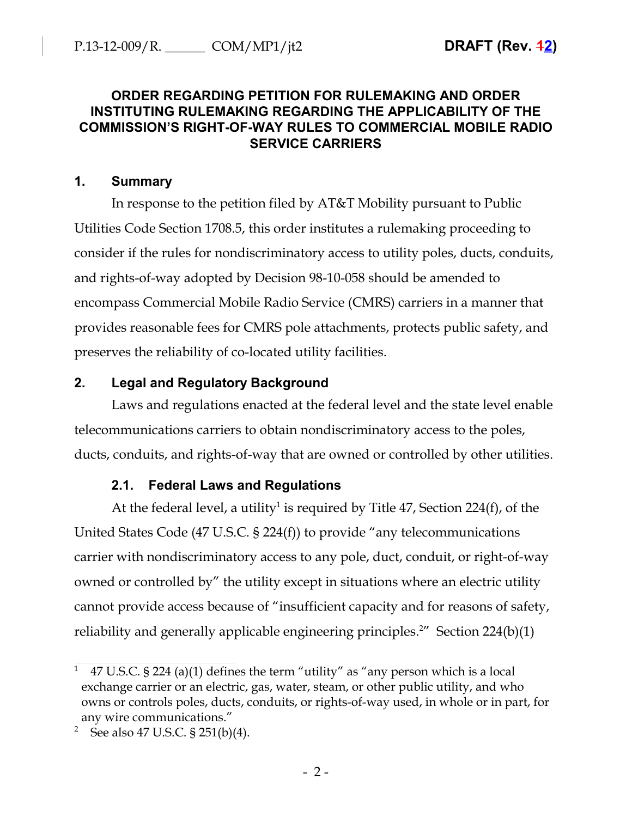# **ORDER REGARDING PETITION FOR RULEMAKING AND ORDER INSTITUTING RULEMAKING REGARDING THE APPLICABILITY OF THE COMMISSION'S RIGHT-OF-WAY RULES TO COMMERCIAL MOBILE RADIO SERVICE CARRIERS**

## **1. Summary**

In response to the petition filed by AT&T Mobility pursuant to Public Utilities Code Section 1708.5, this order institutes a rulemaking proceeding to consider if the rules for nondiscriminatory access to utility poles, ducts, conduits, and rights-of-way adopted by Decision 98-10-058 should be amended to encompass Commercial Mobile Radio Service (CMRS) carriers in a manner that provides reasonable fees for CMRS pole attachments, protects public safety, and preserves the reliability of co-located utility facilities.

# **2. Legal and Regulatory Background**

Laws and regulations enacted at the federal level and the state level enable telecommunications carriers to obtain nondiscriminatory access to the poles, ducts, conduits, and rights-of-way that are owned or controlled by other utilities.

# **2.1. Federal Laws and Regulations**

At the federal level, a utility<sup>1</sup> is required by Title 47, Section 224(f), of the United States Code (47 U.S.C. § 224(f)) to provide "any telecommunications carrier with nondiscriminatory access to any pole, duct, conduit, or right-of-way owned or controlled by" the utility except in situations where an electric utility cannot provide access because of "insufficient capacity and for reasons of safety, reliability and generally applicable engineering principles.<sup>2"</sup> Section 224(b)(1)

<sup>&</sup>lt;sup>1</sup> 47 U.S.C. § 224 (a)(1) defines the term "utility" as "any person which is a local exchange carrier or an electric, gas, water, steam, or other public utility, and who owns or controls poles, ducts, conduits, or rights-of-way used, in whole or in part, for any wire communications."

<sup>&</sup>lt;sup>2</sup> See also 47 U.S.C. § 251(b)(4).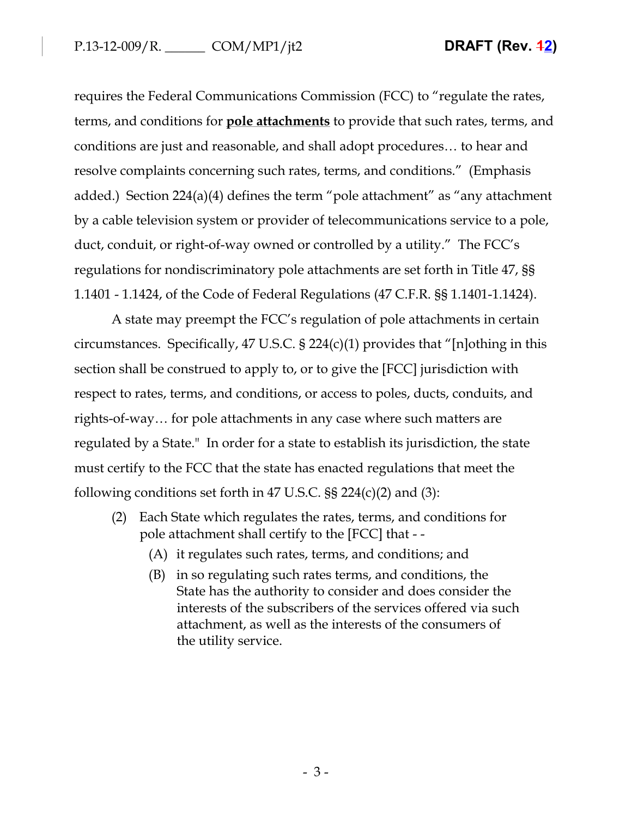requires the Federal Communications Commission (FCC) to "regulate the rates, terms, and conditions for **pole attachments** to provide that such rates, terms, and conditions are just and reasonable, and shall adopt procedures… to hear and resolve complaints concerning such rates, terms, and conditions." (Emphasis added.) Section 224(a)(4) defines the term "pole attachment" as "any attachment by a cable television system or provider of telecommunications service to a pole, duct, conduit, or right-of-way owned or controlled by a utility." The FCC's regulations for nondiscriminatory pole attachments are set forth in Title 47, §§ 1.1401 - 1.1424, of the Code of Federal Regulations (47 C.F.R. §§ 1.1401-1.1424).

A state may preempt the FCC's regulation of pole attachments in certain circumstances. Specifically, 47 U.S.C. § 224(c)(1) provides that "[n]othing in this section shall be construed to apply to, or to give the [FCC] jurisdiction with respect to rates, terms, and conditions, or access to poles, ducts, conduits, and rights-of-way… for pole attachments in any case where such matters are regulated by a State." In order for a state to establish its jurisdiction, the state must certify to the FCC that the state has enacted regulations that meet the following conditions set forth in 47 U.S.C.  $\S$  224(c)(2) and (3):

- (2) Each State which regulates the rates, terms, and conditions for pole attachment shall certify to the [FCC] that - -
	- (A) it regulates such rates, terms, and conditions; and
	- (B) in so regulating such rates terms, and conditions, the State has the authority to consider and does consider the interests of the subscribers of the services offered via such attachment, as well as the interests of the consumers of the utility service.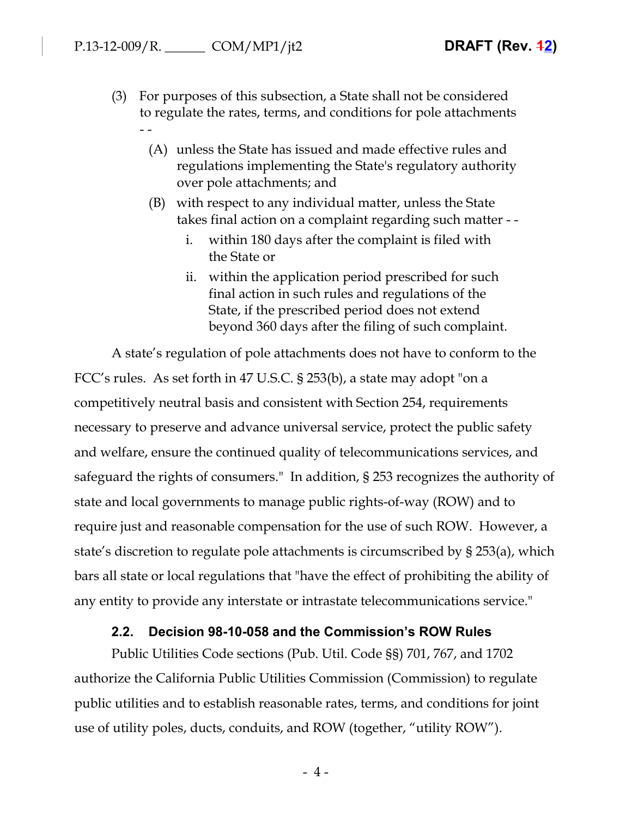- (3) For purposes of this subsection, a State shall not be considered to regulate the rates, terms, and conditions for pole attachments - -
	- (A) unless the State has issued and made effective rules and regulations implementing the State's regulatory authority over pole attachments; and
	- (B) with respect to any individual matter, unless the State takes final action on a complaint regarding such matter -
		- i. within 180 days after the complaint is filed with the State or
		- ii. within the application period prescribed for such final action in such rules and regulations of the State, if the prescribed period does not extend beyond 360 days after the filing of such complaint.

A state's regulation of pole attachments does not have to conform to the FCC's rules. As set forth in 47 U.S.C. § 253(b), a state may adopt "on a competitively neutral basis and consistent with Section 254, requirements necessary to preserve and advance universal service, protect the public safety and welfare, ensure the continued quality of telecommunications services, and safeguard the rights of consumers." In addition, § 253 recognizes the authority of state and local governments to manage public rights-of-way (ROW) and to require just and reasonable compensation for the use of such ROW. However, a state's discretion to regulate pole attachments is circumscribed by § 253(a), which bars all state or local regulations that "have the effect of prohibiting the ability of any entity to provide any interstate or intrastate telecommunications service."

### **2.2. Decision 98-10-058 and the Commission's ROW Rules**

Public Utilities Code sections (Pub. Util. Code §§) 701, 767, and 1702 authorize the California Public Utilities Commission (Commission) to regulate public utilities and to establish reasonable rates, terms, and conditions for joint use of utility poles, ducts, conduits, and ROW (together, "utility ROW").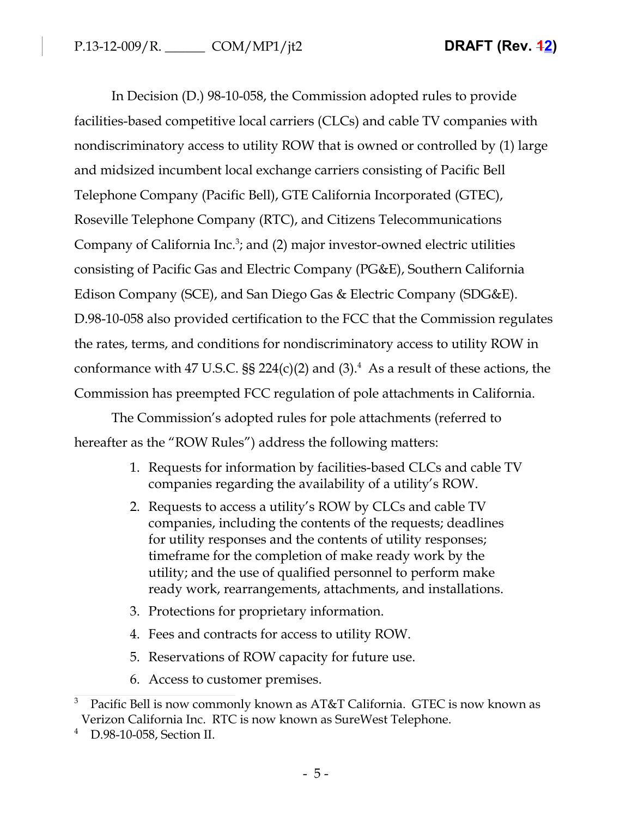In Decision (D.) 98-10-058, the Commission adopted rules to provide facilities-based competitive local carriers (CLCs) and cable TV companies with nondiscriminatory access to utility ROW that is owned or controlled by (1) large and midsized incumbent local exchange carriers consisting of Pacific Bell Telephone Company (Pacific Bell), GTE California Incorporated (GTEC), Roseville Telephone Company (RTC), and Citizens Telecommunications Company of California Inc.<sup>3</sup>; and (2) major investor-owned electric utilities consisting of Pacific Gas and Electric Company (PG&E), Southern California Edison Company (SCE), and San Diego Gas & Electric Company (SDG&E). D.98-10-058 also provided certification to the FCC that the Commission regulates the rates, terms, and conditions for nondiscriminatory access to utility ROW in conformance with 47 U.S.C.  $\S$ § 224(c)(2) and (3).<sup>4</sup> As a result of these actions, the Commission has preempted FCC regulation of pole attachments in California.

The Commission's adopted rules for pole attachments (referred to hereafter as the "ROW Rules") address the following matters:

- 1. Requests for information by facilities-based CLCs and cable TV companies regarding the availability of a utility's ROW.
- 2. Requests to access a utility's ROW by CLCs and cable TV companies, including the contents of the requests; deadlines for utility responses and the contents of utility responses; timeframe for the completion of make ready work by the utility; and the use of qualified personnel to perform make ready work, rearrangements, attachments, and installations.
- 3. Protections for proprietary information.
- 4. Fees and contracts for access to utility ROW.
- 5. Reservations of ROW capacity for future use.
- 6. Access to customer premises.

<sup>3</sup> Pacific Bell is now commonly known as AT&T California. GTEC is now known as Verizon California Inc. RTC is now known as SureWest Telephone.

D.98-10-058, Section II.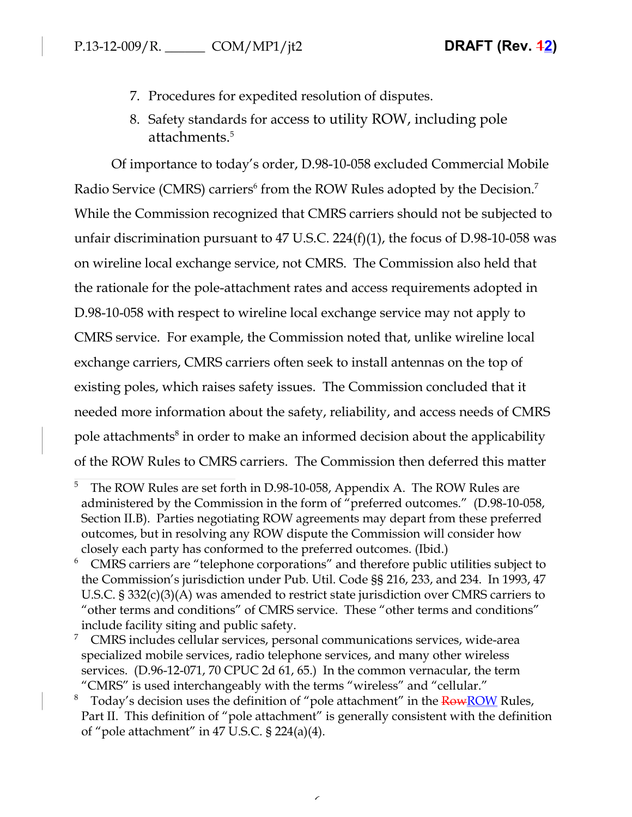- 7. Procedures for expedited resolution of disputes.
- 8. Safety standards for access to utility ROW, including pole attachments.<sup>5</sup>

Of importance to today's order, D.98-10-058 excluded Commercial Mobile Radio Service (CMRS) carriers<sup>6</sup> from the ROW Rules adopted by the Decision.<sup>7</sup> While the Commission recognized that CMRS carriers should not be subjected to unfair discrimination pursuant to 47 U.S.C. 224(f)(1), the focus of D.98-10-058 was on wireline local exchange service, not CMRS. The Commission also held that the rationale for the pole-attachment rates and access requirements adopted in D.98-10-058 with respect to wireline local exchange service may not apply to CMRS service. For example, the Commission noted that, unlike wireline local exchange carriers, CMRS carriers often seek to install antennas on the top of existing poles, which raises safety issues. The Commission concluded that it needed more information about the safety, reliability, and access needs of CMRS pole attachments<sup>8</sup> in order to make an informed decision about the applicability of the ROW Rules to CMRS carriers. The Commission then deferred this matter

<sup>&</sup>lt;sup>5</sup> The ROW Rules are set forth in D.98-10-058, Appendix A. The ROW Rules are administered by the Commission in the form of "preferred outcomes." (D.98-10-058, Section II.B). Parties negotiating ROW agreements may depart from these preferred outcomes, but in resolving any ROW dispute the Commission will consider how closely each party has conformed to the preferred outcomes. (Ibid.)

<sup>&</sup>lt;sup>6</sup> CMRS carriers are "telephone corporations" and therefore public utilities subject to the Commission's jurisdiction under Pub. Util. Code §§ 216, 233, and 234. In 1993, 47 U.S.C. § 332(c)(3)(A) was amended to restrict state jurisdiction over CMRS carriers to "other terms and conditions" of CMRS service. These "other terms and conditions" include facility siting and public safety.

 $7$  CMRS includes cellular services, personal communications services, wide-area specialized mobile services, radio telephone services, and many other wireless services. (D.96-12-071, 70 CPUC 2d 61, 65.) In the common vernacular, the term "CMRS" is used interchangeably with the terms "wireless" and "cellular."

<sup>&</sup>lt;sup>8</sup> Today's decision uses the definition of "pole attachment" in the **RowROW** Rules, Part II. This definition of "pole attachment" is generally consistent with the definition of "pole attachment" in 47 U.S.C. § 224(a)(4).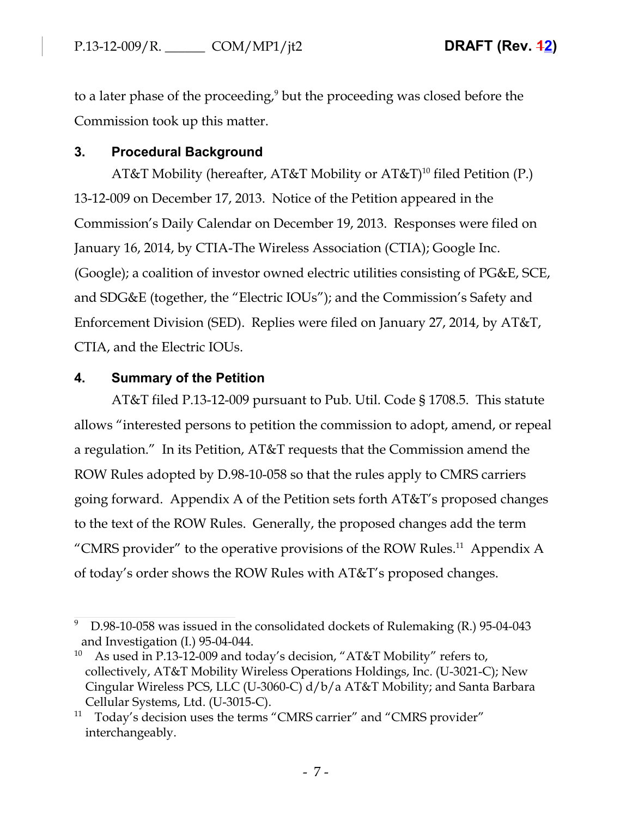to a later phase of the proceeding,<sup>9</sup> but the proceeding was closed before the Commission took up this matter.

# **3. Procedural Background**

AT&T Mobility (hereafter, AT&T Mobility or AT&T)<sup>10</sup> filed Petition (P.) 13-12-009 on December 17, 2013. Notice of the Petition appeared in the Commission's Daily Calendar on December 19, 2013. Responses were filed on January 16, 2014, by CTIA-The Wireless Association (CTIA); Google Inc. (Google); a coalition of investor owned electric utilities consisting of PG&E, SCE, and SDG&E (together, the "Electric IOUs"); and the Commission's Safety and Enforcement Division (SED). Replies were filed on January 27, 2014, by AT&T, CTIA, and the Electric IOUs.

# **4. Summary of the Petition**

AT&T filed P.13-12-009 pursuant to Pub. Util. Code § 1708.5. This statute allows "interested persons to petition the commission to adopt, amend, or repeal a regulation." In its Petition, AT&T requests that the Commission amend the ROW Rules adopted by D.98-10-058 so that the rules apply to CMRS carriers going forward. Appendix A of the Petition sets forth AT&T's proposed changes to the text of the ROW Rules. Generally, the proposed changes add the term "CMRS provider" to the operative provisions of the ROW Rules.<sup>11</sup> Appendix A of today's order shows the ROW Rules with AT&T's proposed changes.

<sup>9</sup> D.98-10-058 was issued in the consolidated dockets of Rulemaking (R.) 95-04-043 and Investigation (I.) 95-04-044.

<sup>&</sup>lt;sup>10</sup> As used in P.13-12-009 and today's decision, "AT&T Mobility" refers to, collectively, AT&T Mobility Wireless Operations Holdings, Inc. (U-3021-C); New Cingular Wireless PCS, LLC (U-3060-C) d/b/a AT&T Mobility; and Santa Barbara Cellular Systems, Ltd. (U-3015-C).

<sup>&</sup>lt;sup>11</sup> Today's decision uses the terms "CMRS carrier" and "CMRS provider" interchangeably.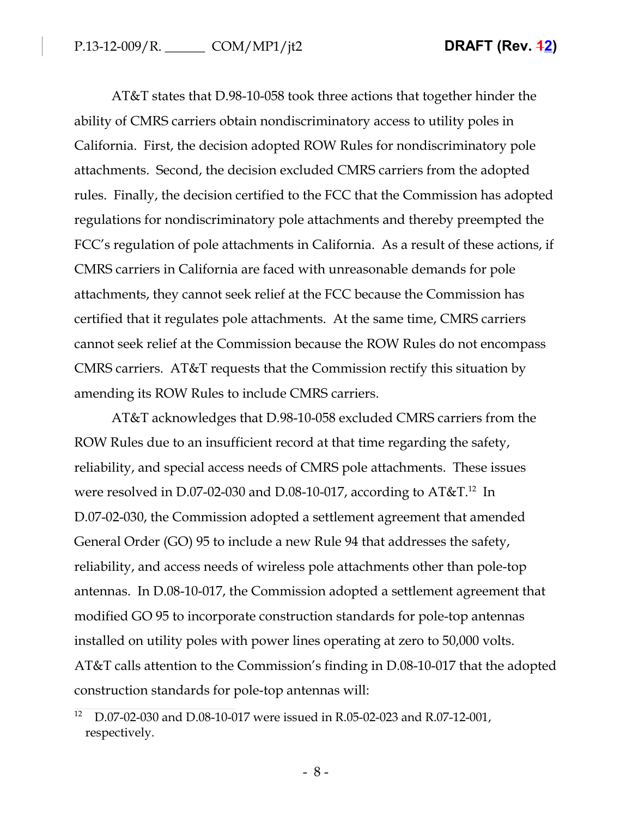AT&T states that D.98-10-058 took three actions that together hinder the ability of CMRS carriers obtain nondiscriminatory access to utility poles in California. First, the decision adopted ROW Rules for nondiscriminatory pole attachments. Second, the decision excluded CMRS carriers from the adopted rules. Finally, the decision certified to the FCC that the Commission has adopted regulations for nondiscriminatory pole attachments and thereby preempted the FCC's regulation of pole attachments in California. As a result of these actions, if CMRS carriers in California are faced with unreasonable demands for pole attachments, they cannot seek relief at the FCC because the Commission has certified that it regulates pole attachments. At the same time, CMRS carriers cannot seek relief at the Commission because the ROW Rules do not encompass CMRS carriers. AT&T requests that the Commission rectify this situation by amending its ROW Rules to include CMRS carriers.

AT&T acknowledges that D.98-10-058 excluded CMRS carriers from the ROW Rules due to an insufficient record at that time regarding the safety, reliability, and special access needs of CMRS pole attachments. These issues were resolved in D.07-02-030 and D.08-10-017, according to  $AT&T$ .<sup>12</sup> In D.07-02-030, the Commission adopted a settlement agreement that amended General Order (GO) 95 to include a new Rule 94 that addresses the safety, reliability, and access needs of wireless pole attachments other than pole-top antennas. In D.08-10-017, the Commission adopted a settlement agreement that modified GO 95 to incorporate construction standards for pole-top antennas installed on utility poles with power lines operating at zero to 50,000 volts. AT&T calls attention to the Commission's finding in D.08-10-017 that the adopted construction standards for pole-top antennas will:

<sup>12</sup> D.07-02-030 and D.08-10-017 were issued in R.05-02-023 and R.07-12-001, respectively.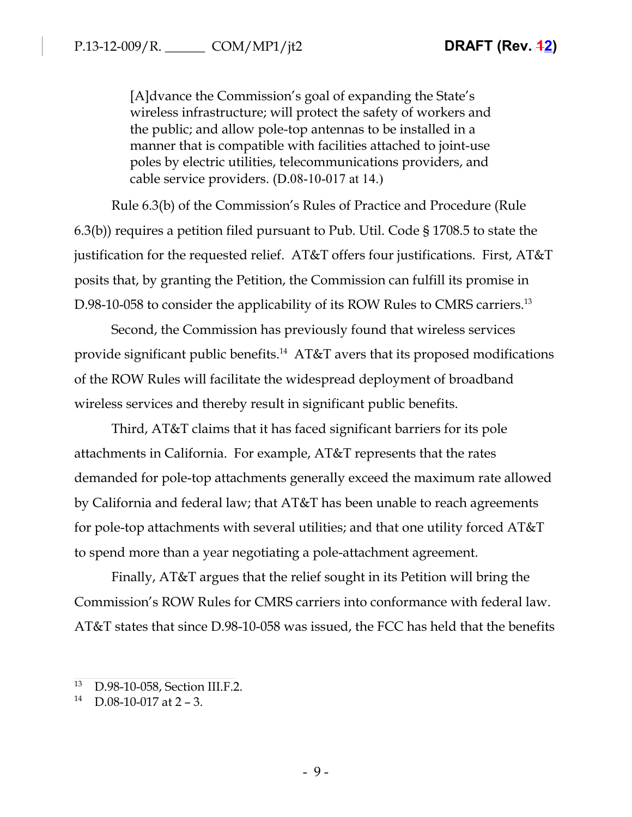[A]dvance the Commission's goal of expanding the State's wireless infrastructure; will protect the safety of workers and the public; and allow pole-top antennas to be installed in a manner that is compatible with facilities attached to joint-use poles by electric utilities, telecommunications providers, and cable service providers. (D.08-10-017 at 14.)

Rule 6.3(b) of the Commission's Rules of Practice and Procedure (Rule 6.3(b)) requires a petition filed pursuant to Pub. Util. Code § 1708.5 to state the justification for the requested relief. AT&T offers four justifications. First, AT&T posits that, by granting the Petition, the Commission can fulfill its promise in D.98-10-058 to consider the applicability of its ROW Rules to CMRS carriers.<sup>13</sup>

Second, the Commission has previously found that wireless services provide significant public benefits.<sup>14</sup> AT&T avers that its proposed modifications of the ROW Rules will facilitate the widespread deployment of broadband wireless services and thereby result in significant public benefits.

Third, AT&T claims that it has faced significant barriers for its pole attachments in California. For example, AT&T represents that the rates demanded for pole-top attachments generally exceed the maximum rate allowed by California and federal law; that AT&T has been unable to reach agreements for pole-top attachments with several utilities; and that one utility forced AT&T to spend more than a year negotiating a pole-attachment agreement.

Finally, AT&T argues that the relief sought in its Petition will bring the Commission's ROW Rules for CMRS carriers into conformance with federal law. AT&T states that since D.98-10-058 was issued, the FCC has held that the benefits

<sup>13</sup> D.98-10-058, Section III.F.2.

 $14$  D.08-10-017 at 2 – 3.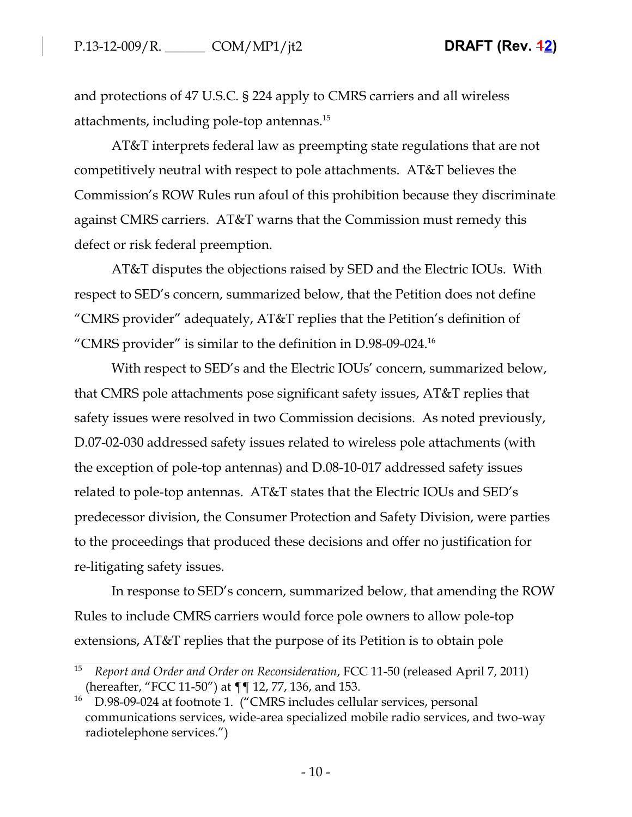and protections of 47 U.S.C. § 224 apply to CMRS carriers and all wireless attachments, including pole-top antennas.<sup>15</sup>

AT&T interprets federal law as preempting state regulations that are not competitively neutral with respect to pole attachments. AT&T believes the Commission's ROW Rules run afoul of this prohibition because they discriminate against CMRS carriers. AT&T warns that the Commission must remedy this defect or risk federal preemption.

AT&T disputes the objections raised by SED and the Electric IOUs. With respect to SED's concern, summarized below, that the Petition does not define "CMRS provider" adequately, AT&T replies that the Petition's definition of "CMRS provider" is similar to the definition in  $D.98-09-024$ <sup>16</sup>

With respect to SED's and the Electric IOUs' concern, summarized below, that CMRS pole attachments pose significant safety issues, AT&T replies that safety issues were resolved in two Commission decisions. As noted previously, D.07-02-030 addressed safety issues related to wireless pole attachments (with the exception of pole-top antennas) and D.08-10-017 addressed safety issues related to pole-top antennas. AT&T states that the Electric IOUs and SED's predecessor division, the Consumer Protection and Safety Division, were parties to the proceedings that produced these decisions and offer no justification for re-litigating safety issues.

In response to SED's concern, summarized below, that amending the ROW Rules to include CMRS carriers would force pole owners to allow pole-top extensions, AT&T replies that the purpose of its Petition is to obtain pole

<sup>15</sup> *Report and Order and Order on Reconsideration*, FCC 11-50 (released April 7, 2011) (hereafter, "FCC 11-50") at ¶¶ 12, 77, 136, and 153.

<sup>&</sup>lt;sup>16</sup> D.98-09-024 at footnote 1. ("CMRS includes cellular services, personal communications services, wide-area specialized mobile radio services, and two-way radiotelephone services.")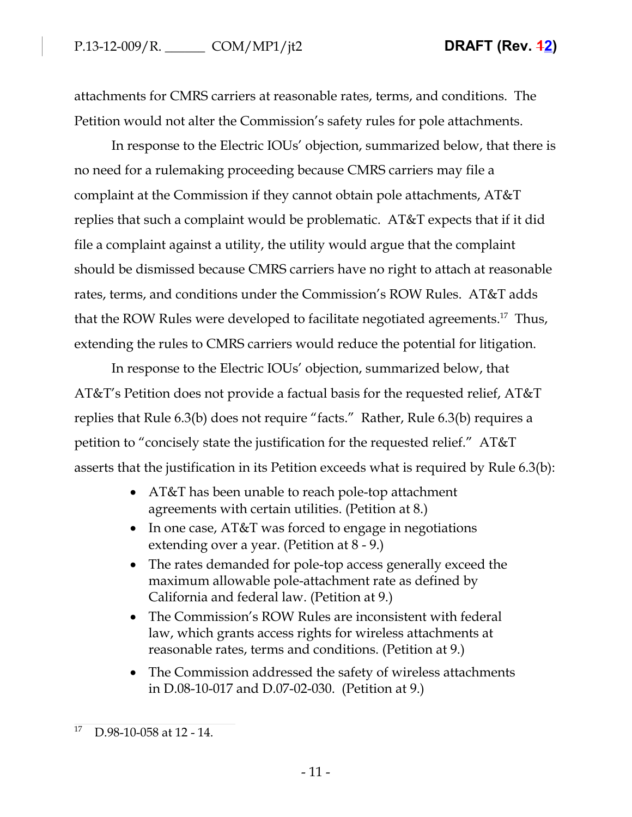attachments for CMRS carriers at reasonable rates, terms, and conditions. The Petition would not alter the Commission's safety rules for pole attachments.

In response to the Electric IOUs' objection, summarized below, that there is no need for a rulemaking proceeding because CMRS carriers may file a complaint at the Commission if they cannot obtain pole attachments, AT&T replies that such a complaint would be problematic. AT&T expects that if it did file a complaint against a utility, the utility would argue that the complaint should be dismissed because CMRS carriers have no right to attach at reasonable rates, terms, and conditions under the Commission's ROW Rules. AT&T adds that the ROW Rules were developed to facilitate negotiated agreements.<sup>17</sup> Thus, extending the rules to CMRS carriers would reduce the potential for litigation.

In response to the Electric IOUs' objection, summarized below, that AT&T's Petition does not provide a factual basis for the requested relief, AT&T replies that Rule 6.3(b) does not require "facts." Rather, Rule 6.3(b) requires a petition to "concisely state the justification for the requested relief." AT&T asserts that the justification in its Petition exceeds what is required by Rule 6.3(b):

- AT&T has been unable to reach pole-top attachment agreements with certain utilities. (Petition at 8.)
- In one case,  $AT&T$  was forced to engage in negotiations extending over a year. (Petition at 8 - 9.)
- The rates demanded for pole-top access generally exceed the maximum allowable pole-attachment rate as defined by California and federal law. (Petition at 9.)
- The Commission's ROW Rules are inconsistent with federal law, which grants access rights for wireless attachments at reasonable rates, terms and conditions. (Petition at 9.)
- The Commission addressed the safety of wireless attachments in D.08-10-017 and D.07-02-030. (Petition at 9.)

<sup>17</sup> D.98-10-058 at 12 - 14.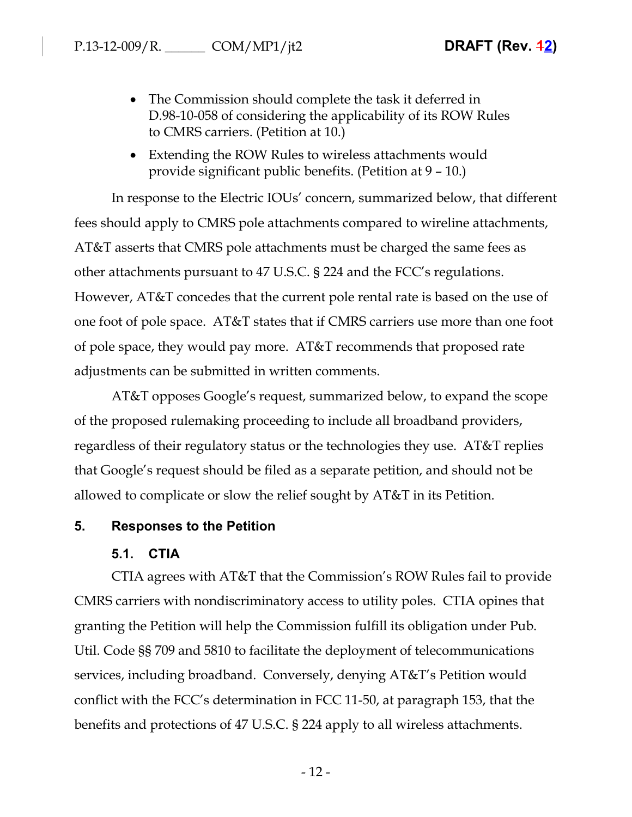- The Commission should complete the task it deferred in D.98-10-058 of considering the applicability of its ROW Rules to CMRS carriers. (Petition at 10.)
- Extending the ROW Rules to wireless attachments would provide significant public benefits. (Petition at 9 – 10.)

In response to the Electric IOUs' concern, summarized below, that different fees should apply to CMRS pole attachments compared to wireline attachments, AT&T asserts that CMRS pole attachments must be charged the same fees as other attachments pursuant to 47 U.S.C. § 224 and the FCC's regulations. However, AT&T concedes that the current pole rental rate is based on the use of one foot of pole space. AT&T states that if CMRS carriers use more than one foot of pole space, they would pay more. AT&T recommends that proposed rate adjustments can be submitted in written comments.

AT&T opposes Google's request, summarized below, to expand the scope of the proposed rulemaking proceeding to include all broadband providers, regardless of their regulatory status or the technologies they use. AT&T replies that Google's request should be filed as a separate petition, and should not be allowed to complicate or slow the relief sought by AT&T in its Petition.

### **5. Responses to the Petition**

### **5.1. CTIA**

CTIA agrees with AT&T that the Commission's ROW Rules fail to provide CMRS carriers with nondiscriminatory access to utility poles. CTIA opines that granting the Petition will help the Commission fulfill its obligation under Pub. Util. Code §§ 709 and 5810 to facilitate the deployment of telecommunications services, including broadband. Conversely, denying AT&T's Petition would conflict with the FCC's determination in FCC 11-50, at paragraph 153, that the benefits and protections of 47 U.S.C. § 224 apply to all wireless attachments.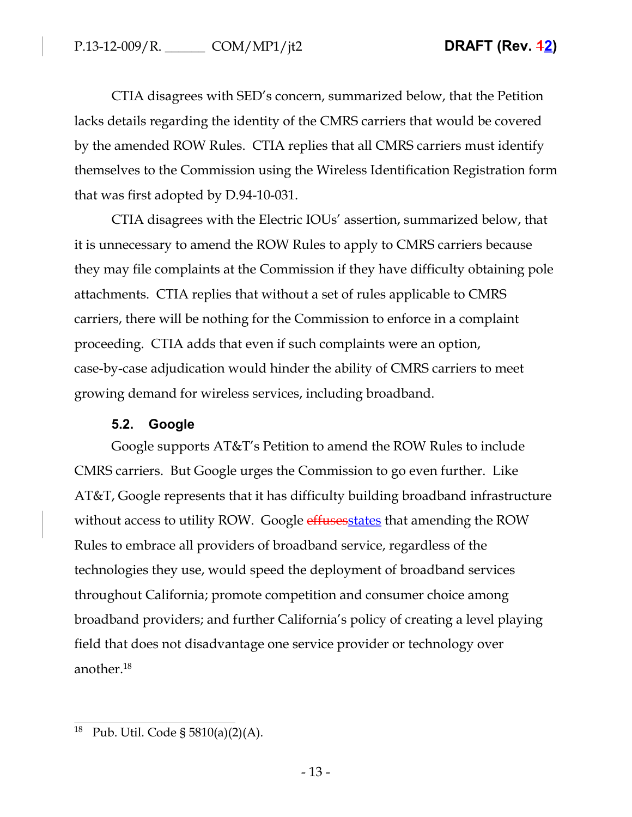CTIA disagrees with SED's concern, summarized below, that the Petition lacks details regarding the identity of the CMRS carriers that would be covered by the amended ROW Rules. CTIA replies that all CMRS carriers must identify themselves to the Commission using the Wireless Identification Registration form that was first adopted by D.94-10-031.

CTIA disagrees with the Electric IOUs' assertion, summarized below, that it is unnecessary to amend the ROW Rules to apply to CMRS carriers because they may file complaints at the Commission if they have difficulty obtaining pole attachments. CTIA replies that without a set of rules applicable to CMRS carriers, there will be nothing for the Commission to enforce in a complaint proceeding. CTIA adds that even if such complaints were an option, case-by-case adjudication would hinder the ability of CMRS carriers to meet growing demand for wireless services, including broadband.

# **5.2. Google**

Google supports AT&T's Petition to amend the ROW Rules to include CMRS carriers. But Google urges the Commission to go even further. Like AT&T, Google represents that it has difficulty building broadband infrastructure without access to utility ROW. Google effuses states that amending the ROW Rules to embrace all providers of broadband service, regardless of the technologies they use, would speed the deployment of broadband services throughout California; promote competition and consumer choice among broadband providers; and further California's policy of creating a level playing field that does not disadvantage one service provider or technology over another.<sup>18</sup>

<sup>18</sup> Pub. Util. Code § 5810(a)(2)(A).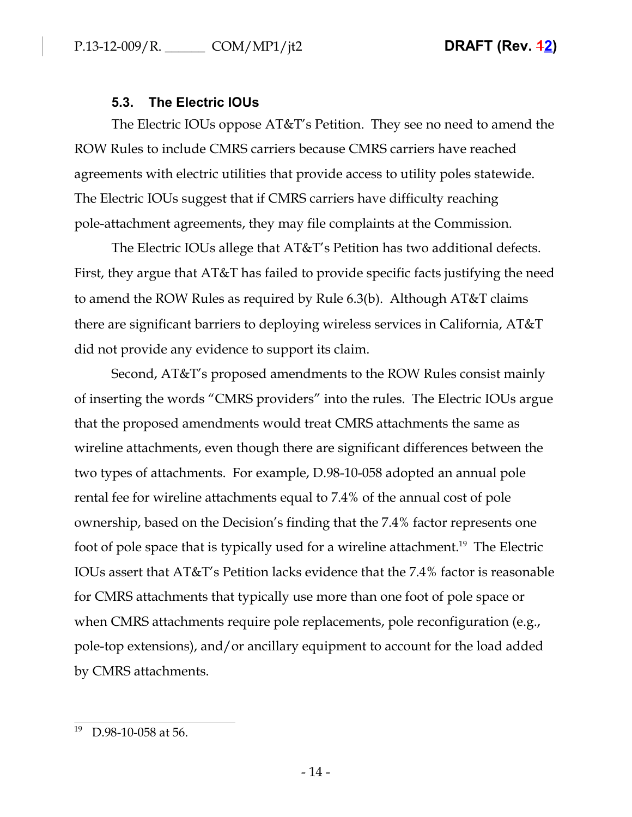# **5.3. The Electric IOUs**

The Electric IOUs oppose AT&T's Petition. They see no need to amend the ROW Rules to include CMRS carriers because CMRS carriers have reached agreements with electric utilities that provide access to utility poles statewide. The Electric IOUs suggest that if CMRS carriers have difficulty reaching pole-attachment agreements, they may file complaints at the Commission.

The Electric IOUs allege that AT&T's Petition has two additional defects. First, they argue that AT&T has failed to provide specific facts justifying the need to amend the ROW Rules as required by Rule 6.3(b). Although AT&T claims there are significant barriers to deploying wireless services in California, AT&T did not provide any evidence to support its claim.

Second, AT&T's proposed amendments to the ROW Rules consist mainly of inserting the words "CMRS providers" into the rules. The Electric IOUs argue that the proposed amendments would treat CMRS attachments the same as wireline attachments, even though there are significant differences between the two types of attachments. For example, D.98-10-058 adopted an annual pole rental fee for wireline attachments equal to 7.4% of the annual cost of pole ownership, based on the Decision's finding that the 7.4% factor represents one foot of pole space that is typically used for a wireline attachment.<sup>19</sup> The Electric IOUs assert that AT&T's Petition lacks evidence that the 7.4% factor is reasonable for CMRS attachments that typically use more than one foot of pole space or when CMRS attachments require pole replacements, pole reconfiguration (e.g., pole-top extensions), and/or ancillary equipment to account for the load added by CMRS attachments.

<sup>19</sup> D.98-10-058 at 56.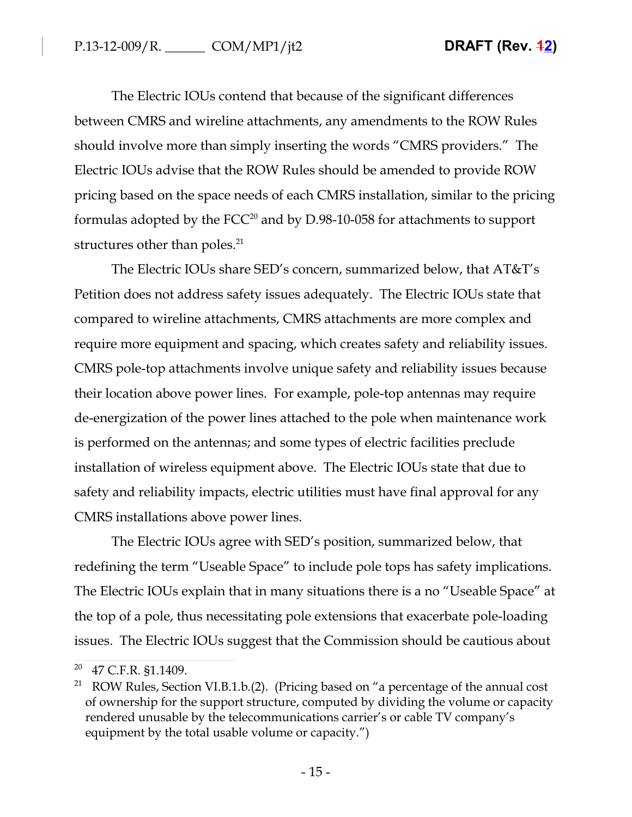The Electric IOUs contend that because of the significant differences between CMRS and wireline attachments, any amendments to the ROW Rules should involve more than simply inserting the words "CMRS providers." The Electric IOUs advise that the ROW Rules should be amended to provide ROW pricing based on the space needs of each CMRS installation, similar to the pricing formulas adopted by the FCC<sup>20</sup> and by D.98-10-058 for attachments to support structures other than poles.<sup>21</sup>

The Electric IOUs share SED's concern, summarized below, that AT&T's Petition does not address safety issues adequately. The Electric IOUs state that compared to wireline attachments, CMRS attachments are more complex and require more equipment and spacing, which creates safety and reliability issues. CMRS pole-top attachments involve unique safety and reliability issues because their location above power lines. For example, pole-top antennas may require de-energization of the power lines attached to the pole when maintenance work is performed on the antennas; and some types of electric facilities preclude installation of wireless equipment above. The Electric IOUs state that due to safety and reliability impacts, electric utilities must have final approval for any CMRS installations above power lines.

The Electric IOUs agree with SED's position, summarized below, that redefining the term "Useable Space" to include pole tops has safety implications. The Electric IOUs explain that in many situations there is a no "Useable Space" at the top of a pole, thus necessitating pole extensions that exacerbate pole-loading issues. The Electric IOUs suggest that the Commission should be cautious about

<sup>20</sup> 47 C.F.R. §1.1409.

<sup>&</sup>lt;sup>21</sup> ROW Rules, Section VI.B.1.b.(2). (Pricing based on "a percentage of the annual cost of ownership for the support structure, computed by dividing the volume or capacity rendered unusable by the telecommunications carrier's or cable TV company's equipment by the total usable volume or capacity.")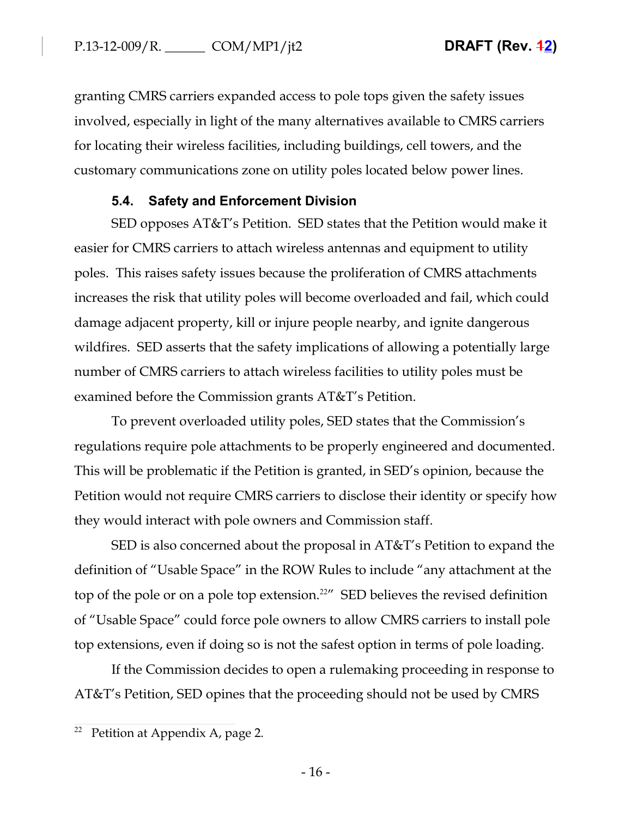granting CMRS carriers expanded access to pole tops given the safety issues involved, especially in light of the many alternatives available to CMRS carriers for locating their wireless facilities, including buildings, cell towers, and the customary communications zone on utility poles located below power lines.

# **5.4. Safety and Enforcement Division**

SED opposes AT&T's Petition. SED states that the Petition would make it easier for CMRS carriers to attach wireless antennas and equipment to utility poles. This raises safety issues because the proliferation of CMRS attachments increases the risk that utility poles will become overloaded and fail, which could damage adjacent property, kill or injure people nearby, and ignite dangerous wildfires. SED asserts that the safety implications of allowing a potentially large number of CMRS carriers to attach wireless facilities to utility poles must be examined before the Commission grants AT&T's Petition.

To prevent overloaded utility poles, SED states that the Commission's regulations require pole attachments to be properly engineered and documented. This will be problematic if the Petition is granted, in SED's opinion, because the Petition would not require CMRS carriers to disclose their identity or specify how they would interact with pole owners and Commission staff.

SED is also concerned about the proposal in AT&T's Petition to expand the definition of "Usable Space" in the ROW Rules to include "any attachment at the top of the pole or on a pole top extension.<sup>22"</sup> SED believes the revised definition of "Usable Space" could force pole owners to allow CMRS carriers to install pole top extensions, even if doing so is not the safest option in terms of pole loading.

If the Commission decides to open a rulemaking proceeding in response to AT&T's Petition, SED opines that the proceeding should not be used by CMRS

<sup>&</sup>lt;sup>22</sup> Petition at Appendix A, page 2.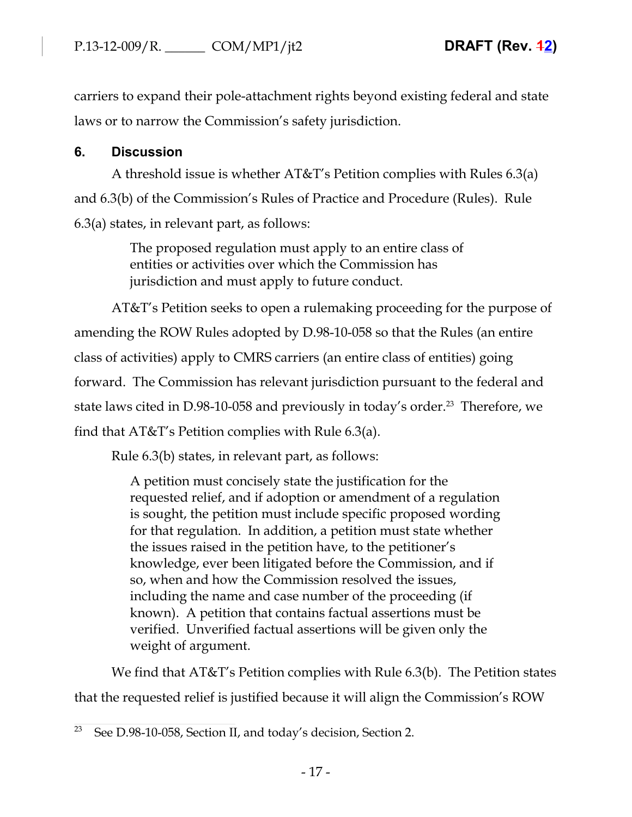carriers to expand their pole-attachment rights beyond existing federal and state laws or to narrow the Commission's safety jurisdiction.

# **6. Discussion**

A threshold issue is whether AT&T's Petition complies with Rules 6.3(a) and 6.3(b) of the Commission's Rules of Practice and Procedure (Rules). Rule 6.3(a) states, in relevant part, as follows:

> The proposed regulation must apply to an entire class of entities or activities over which the Commission has jurisdiction and must apply to future conduct.

AT&T's Petition seeks to open a rulemaking proceeding for the purpose of amending the ROW Rules adopted by D.98-10-058 so that the Rules (an entire class of activities) apply to CMRS carriers (an entire class of entities) going forward. The Commission has relevant jurisdiction pursuant to the federal and state laws cited in D.98-10-058 and previously in today's order.<sup>23</sup> Therefore, we find that AT&T's Petition complies with Rule 6.3(a).

Rule 6.3(b) states, in relevant part, as follows:

A petition must concisely state the justification for the requested relief, and if adoption or amendment of a regulation is sought, the petition must include specific proposed wording for that regulation. In addition, a petition must state whether the issues raised in the petition have, to the petitioner's knowledge, ever been litigated before the Commission, and if so, when and how the Commission resolved the issues, including the name and case number of the proceeding (if known). A petition that contains factual assertions must be verified. Unverified factual assertions will be given only the weight of argument.

We find that AT&T's Petition complies with Rule 6.3(b). The Petition states that the requested relief is justified because it will align the Commission's ROW

See D.98-10-058, Section II, and today's decision, Section 2.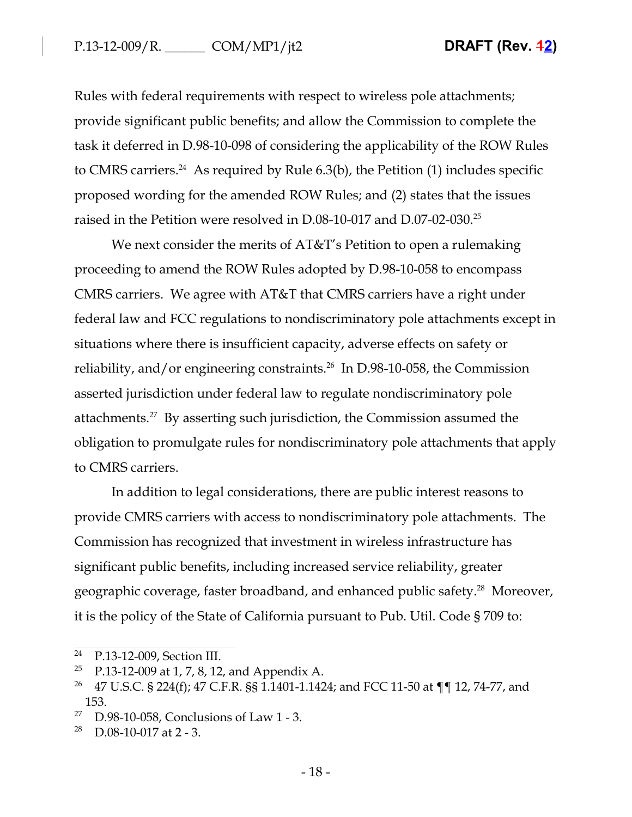Rules with federal requirements with respect to wireless pole attachments; provide significant public benefits; and allow the Commission to complete the task it deferred in D.98-10-098 of considering the applicability of the ROW Rules to CMRS carriers.<sup>24</sup> As required by Rule  $6.3(b)$ , the Petition (1) includes specific proposed wording for the amended ROW Rules; and (2) states that the issues raised in the Petition were resolved in D.08-10-017 and D.07-02-030.<sup>25</sup>

We next consider the merits of AT&T's Petition to open a rulemaking proceeding to amend the ROW Rules adopted by D.98-10-058 to encompass CMRS carriers. We agree with AT&T that CMRS carriers have a right under federal law and FCC regulations to nondiscriminatory pole attachments except in situations where there is insufficient capacity, adverse effects on safety or reliability, and/or engineering constraints.<sup>26</sup> In D.98-10-058, the Commission asserted jurisdiction under federal law to regulate nondiscriminatory pole attachments.<sup>27</sup> By asserting such jurisdiction, the Commission assumed the obligation to promulgate rules for nondiscriminatory pole attachments that apply to CMRS carriers.

In addition to legal considerations, there are public interest reasons to provide CMRS carriers with access to nondiscriminatory pole attachments. The Commission has recognized that investment in wireless infrastructure has significant public benefits, including increased service reliability, greater geographic coverage, faster broadband, and enhanced public safety.<sup>28</sup> Moreover, it is the policy of the State of California pursuant to Pub. Util. Code § 709 to:

<sup>24</sup> P.13-12-009, Section III.

 $25$  P.13-12-009 at 1, 7, 8, 12, and Appendix A.

<sup>&</sup>lt;sup>26</sup> 47 U.S.C. § 224(f); 47 C.F.R. §§ 1.1401-1.1424; and FCC 11-50 at ¶¶ 12, 74-77, and 153.

<sup>&</sup>lt;sup>27</sup> D.98-10-058, Conclusions of Law 1 - 3.

 $28$  D.08-10-017 at 2 - 3.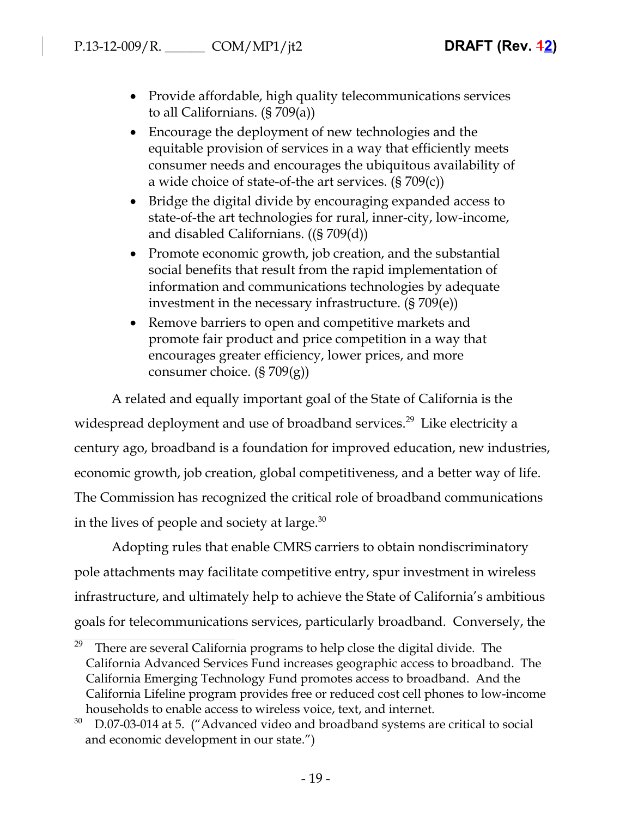- Provide affordable, high quality telecommunications services to all Californians. (§ 709(a))
- Encourage the deployment of new technologies and the equitable provision of services in a way that efficiently meets consumer needs and encourages the ubiquitous availability of a wide choice of state-of-the art services. (§ 709(c))
- Bridge the digital divide by encouraging expanded access to state-of-the art technologies for rural, inner-city, low-income, and disabled Californians. ((§ 709(d))
- Promote economic growth, job creation, and the substantial social benefits that result from the rapid implementation of information and communications technologies by adequate investment in the necessary infrastructure. (§ 709(e))
- Remove barriers to open and competitive markets and promote fair product and price competition in a way that encourages greater efficiency, lower prices, and more consumer choice. (§ 709(g))

A related and equally important goal of the State of California is the widespread deployment and use of broadband services.<sup>29</sup> Like electricity a century ago, broadband is a foundation for improved education, new industries, economic growth, job creation, global competitiveness, and a better way of life. The Commission has recognized the critical role of broadband communications in the lives of people and society at large. $30$ 

Adopting rules that enable CMRS carriers to obtain nondiscriminatory pole attachments may facilitate competitive entry, spur investment in wireless infrastructure, and ultimately help to achieve the State of California's ambitious goals for telecommunications services, particularly broadband. Conversely, the

There are several California programs to help close the digital divide. The California Advanced Services Fund increases geographic access to broadband. The California Emerging Technology Fund promotes access to broadband. And the California Lifeline program provides free or reduced cost cell phones to low-income households to enable access to wireless voice, text, and internet.

 $30$  D.07-03-014 at 5. ("Advanced video and broadband systems are critical to social and economic development in our state.")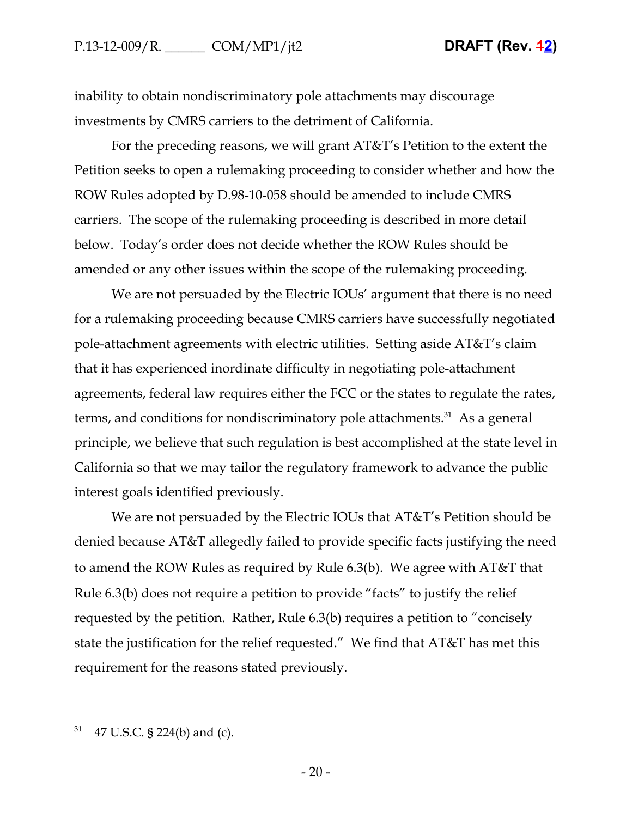inability to obtain nondiscriminatory pole attachments may discourage investments by CMRS carriers to the detriment of California.

For the preceding reasons, we will grant AT&T's Petition to the extent the Petition seeks to open a rulemaking proceeding to consider whether and how the ROW Rules adopted by D.98-10-058 should be amended to include CMRS carriers. The scope of the rulemaking proceeding is described in more detail below. Today's order does not decide whether the ROW Rules should be amended or any other issues within the scope of the rulemaking proceeding.

We are not persuaded by the Electric IOUs' argument that there is no need for a rulemaking proceeding because CMRS carriers have successfully negotiated pole-attachment agreements with electric utilities. Setting aside AT&T's claim that it has experienced inordinate difficulty in negotiating pole-attachment agreements, federal law requires either the FCC or the states to regulate the rates, terms, and conditions for nondiscriminatory pole attachments.<sup>31</sup> As a general principle, we believe that such regulation is best accomplished at the state level in California so that we may tailor the regulatory framework to advance the public interest goals identified previously.

We are not persuaded by the Electric IOUs that AT&T's Petition should be denied because AT&T allegedly failed to provide specific facts justifying the need to amend the ROW Rules as required by Rule 6.3(b). We agree with AT&T that Rule 6.3(b) does not require a petition to provide "facts" to justify the relief requested by the petition. Rather, Rule 6.3(b) requires a petition to "concisely state the justification for the relief requested." We find that AT&T has met this requirement for the reasons stated previously.

 $31$  47 U.S.C. § 224(b) and (c).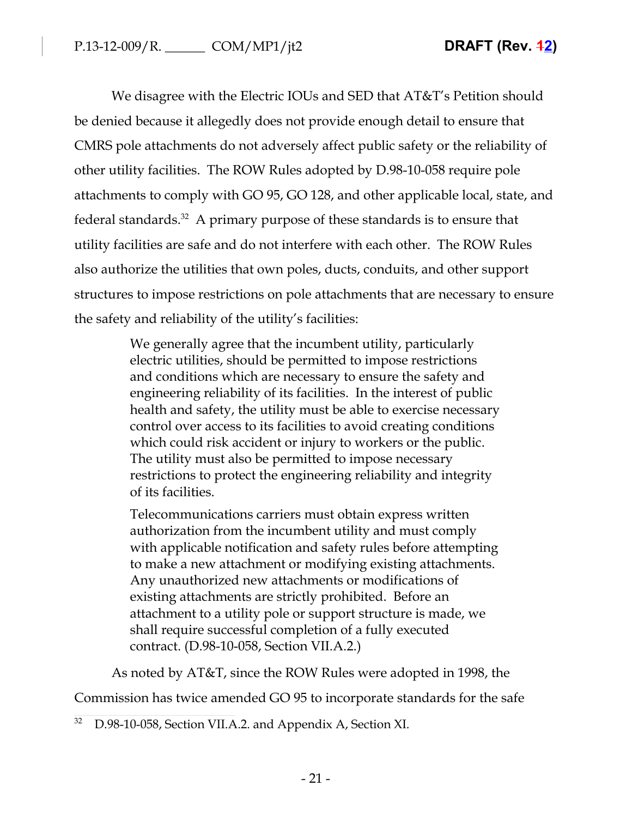We disagree with the Electric IOUs and SED that AT&T's Petition should be denied because it allegedly does not provide enough detail to ensure that CMRS pole attachments do not adversely affect public safety or the reliability of other utility facilities. The ROW Rules adopted by D.98-10-058 require pole attachments to comply with GO 95, GO 128, and other applicable local, state, and federal standards.<sup>32</sup> A primary purpose of these standards is to ensure that utility facilities are safe and do not interfere with each other. The ROW Rules also authorize the utilities that own poles, ducts, conduits, and other support structures to impose restrictions on pole attachments that are necessary to ensure the safety and reliability of the utility's facilities:

> We generally agree that the incumbent utility, particularly electric utilities, should be permitted to impose restrictions and conditions which are necessary to ensure the safety and engineering reliability of its facilities. In the interest of public health and safety, the utility must be able to exercise necessary control over access to its facilities to avoid creating conditions which could risk accident or injury to workers or the public. The utility must also be permitted to impose necessary restrictions to protect the engineering reliability and integrity of its facilities.

> Telecommunications carriers must obtain express written authorization from the incumbent utility and must comply with applicable notification and safety rules before attempting to make a new attachment or modifying existing attachments. Any unauthorized new attachments or modifications of existing attachments are strictly prohibited. Before an attachment to a utility pole or support structure is made, we shall require successful completion of a fully executed contract. (D.98-10-058, Section VII.A.2.)

As noted by AT&T, since the ROW Rules were adopted in 1998, the

Commission has twice amended GO 95 to incorporate standards for the safe

<sup>&</sup>lt;sup>32</sup> D.98-10-058, Section VII.A.2. and Appendix A, Section XI.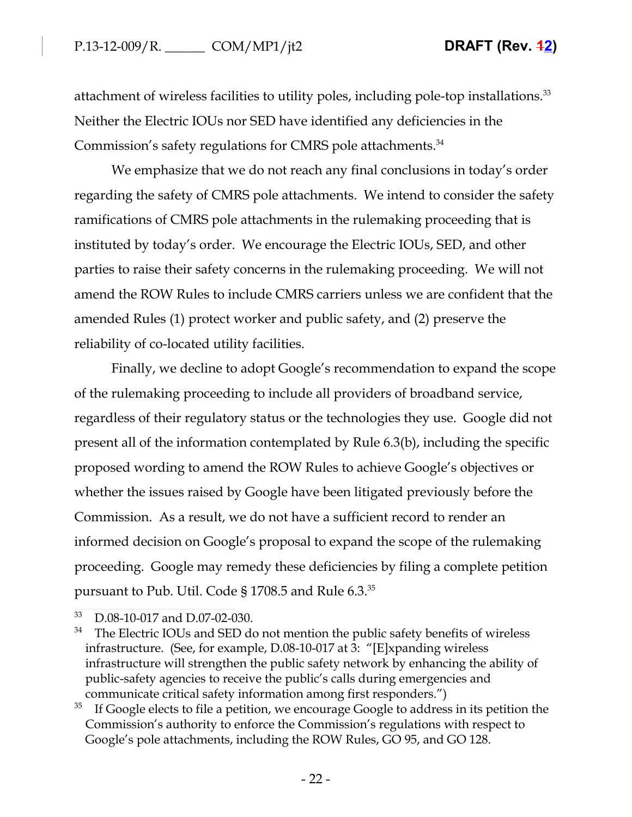attachment of wireless facilities to utility poles, including pole-top installations.<sup>33</sup> Neither the Electric IOUs nor SED have identified any deficiencies in the Commission's safety regulations for CMRS pole attachments.<sup>34</sup>

We emphasize that we do not reach any final conclusions in today's order regarding the safety of CMRS pole attachments. We intend to consider the safety ramifications of CMRS pole attachments in the rulemaking proceeding that is instituted by today's order. We encourage the Electric IOUs, SED, and other parties to raise their safety concerns in the rulemaking proceeding. We will not amend the ROW Rules to include CMRS carriers unless we are confident that the amended Rules (1) protect worker and public safety, and (2) preserve the reliability of co-located utility facilities.

Finally, we decline to adopt Google's recommendation to expand the scope of the rulemaking proceeding to include all providers of broadband service, regardless of their regulatory status or the technologies they use. Google did not present all of the information contemplated by Rule 6.3(b), including the specific proposed wording to amend the ROW Rules to achieve Google's objectives or whether the issues raised by Google have been litigated previously before the Commission. As a result, we do not have a sufficient record to render an informed decision on Google's proposal to expand the scope of the rulemaking proceeding. Google may remedy these deficiencies by filing a complete petition pursuant to Pub. Util. Code § 1708.5 and Rule 6.3.<sup>35</sup>

<sup>33</sup> D.08-10-017 and D.07-02-030.

<sup>&</sup>lt;sup>34</sup> The Electric IOUs and SED do not mention the public safety benefits of wireless infrastructure. (See, for example, D.08-10-017 at 3: "[E]xpanding wireless infrastructure will strengthen the public safety network by enhancing the ability of public-safety agencies to receive the public's calls during emergencies and communicate critical safety information among first responders.")

 $35$  If Google elects to file a petition, we encourage Google to address in its petition the Commission's authority to enforce the Commission's regulations with respect to Google's pole attachments, including the ROW Rules, GO 95, and GO 128.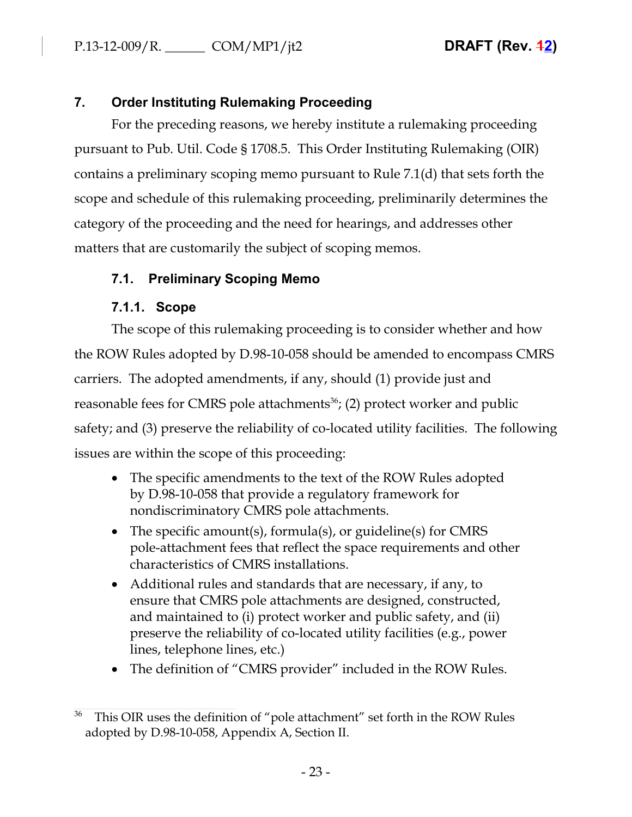# **7. Order Instituting Rulemaking Proceeding**

For the preceding reasons, we hereby institute a rulemaking proceeding pursuant to Pub. Util. Code § 1708.5. This Order Instituting Rulemaking (OIR) contains a preliminary scoping memo pursuant to Rule 7.1(d) that sets forth the scope and schedule of this rulemaking proceeding, preliminarily determines the category of the proceeding and the need for hearings, and addresses other matters that are customarily the subject of scoping memos.

# **7.1. Preliminary Scoping Memo**

# **7.1.1. Scope**

The scope of this rulemaking proceeding is to consider whether and how the ROW Rules adopted by D.98-10-058 should be amended to encompass CMRS carriers. The adopted amendments, if any, should (1) provide just and reasonable fees for CMRS pole attachments<sup>36</sup>; (2) protect worker and public safety; and (3) preserve the reliability of co-located utility facilities. The following issues are within the scope of this proceeding:

- The specific amendments to the text of the ROW Rules adopted by D.98-10-058 that provide a regulatory framework for nondiscriminatory CMRS pole attachments.
- The specific amount(s), formula(s), or guideline(s) for CMRS pole-attachment fees that reflect the space requirements and other characteristics of CMRS installations.
- Additional rules and standards that are necessary, if any, to ensure that CMRS pole attachments are designed, constructed, and maintained to (i) protect worker and public safety, and (ii) preserve the reliability of co-located utility facilities (e.g., power lines, telephone lines, etc.)
- The definition of "CMRS provider" included in the ROW Rules.

This OIR uses the definition of "pole attachment" set forth in the ROW Rules adopted by D.98-10-058, Appendix A, Section II.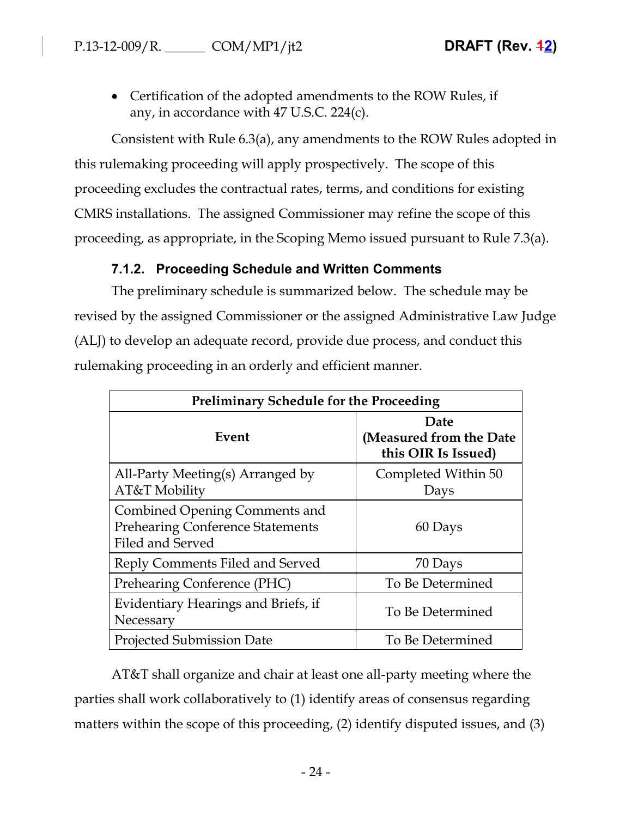• Certification of the adopted amendments to the ROW Rules, if any, in accordance with 47 U.S.C. 224(c).

Consistent with Rule 6.3(a), any amendments to the ROW Rules adopted in this rulemaking proceeding will apply prospectively. The scope of this proceeding excludes the contractual rates, terms, and conditions for existing CMRS installations. The assigned Commissioner may refine the scope of this proceeding, as appropriate, in the Scoping Memo issued pursuant to Rule 7.3(a).

# **7.1.2. Proceeding Schedule and Written Comments**

The preliminary schedule is summarized below. The schedule may be revised by the assigned Commissioner or the assigned Administrative Law Judge (ALJ) to develop an adequate record, provide due process, and conduct this rulemaking proceeding in an orderly and efficient manner.

| <b>Preliminary Schedule for the Proceeding</b>                                               |                                                        |  |
|----------------------------------------------------------------------------------------------|--------------------------------------------------------|--|
| Event                                                                                        | Date<br>(Measured from the Date<br>this OIR Is Issued) |  |
| All-Party Meeting(s) Arranged by<br>AT&T Mobility                                            | Completed Within 50<br>Days                            |  |
| Combined Opening Comments and<br><b>Prehearing Conference Statements</b><br>Filed and Served | 60 Days                                                |  |
| Reply Comments Filed and Served                                                              | 70 Days                                                |  |
| Prehearing Conference (PHC)                                                                  | To Be Determined                                       |  |
| Evidentiary Hearings and Briefs, if<br>Necessary                                             | To Be Determined                                       |  |
| <b>Projected Submission Date</b>                                                             | To Be Determined                                       |  |

AT&T shall organize and chair at least one all-party meeting where the parties shall work collaboratively to (1) identify areas of consensus regarding matters within the scope of this proceeding, (2) identify disputed issues, and (3)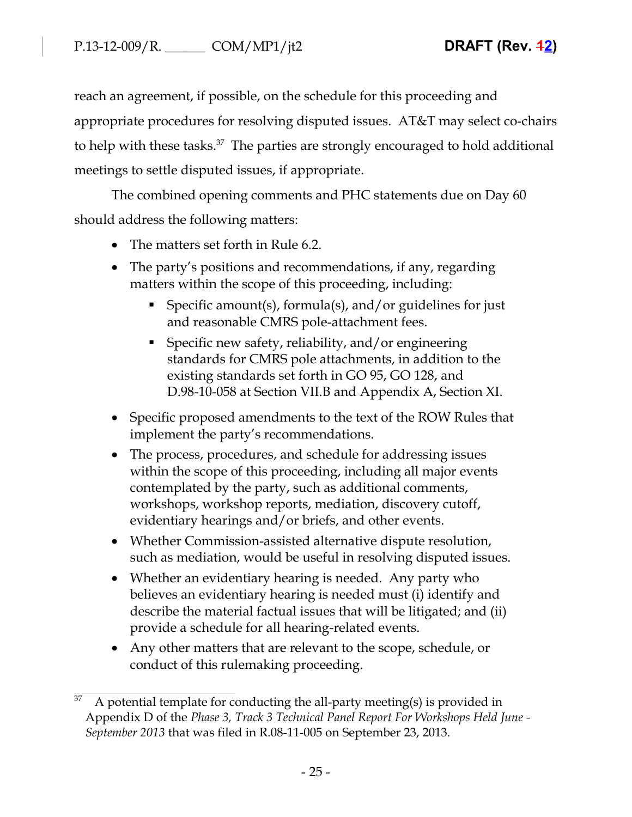reach an agreement, if possible, on the schedule for this proceeding and appropriate procedures for resolving disputed issues. AT&T may select co-chairs to help with these tasks.<sup>37</sup> The parties are strongly encouraged to hold additional meetings to settle disputed issues, if appropriate.

The combined opening comments and PHC statements due on Day 60 should address the following matters:

- The matters set forth in Rule 6.2.
- The party's positions and recommendations, if any, regarding matters within the scope of this proceeding, including:
	- Specific amount(s), formula(s), and/or guidelines for just and reasonable CMRS pole-attachment fees.
	- Specific new safety, reliability, and/or engineering standards for CMRS pole attachments, in addition to the existing standards set forth in GO 95, GO 128, and D.98-10-058 at Section VII.B and Appendix A, Section XI.
- Specific proposed amendments to the text of the ROW Rules that implement the party's recommendations.
- The process, procedures, and schedule for addressing issues within the scope of this proceeding, including all major events contemplated by the party, such as additional comments, workshops, workshop reports, mediation, discovery cutoff, evidentiary hearings and/or briefs, and other events.
- Whether Commission-assisted alternative dispute resolution, such as mediation, would be useful in resolving disputed issues.
- Whether an evidentiary hearing is needed. Any party who believes an evidentiary hearing is needed must (i) identify and describe the material factual issues that will be litigated; and (ii) provide a schedule for all hearing-related events.
- Any other matters that are relevant to the scope, schedule, or conduct of this rulemaking proceeding.

 $37$  A potential template for conducting the all-party meeting(s) is provided in Appendix D of the *Phase 3, Track 3 Technical Panel Report For Workshops Held June - September 2013* that was filed in R.08-11-005 on September 23, 2013.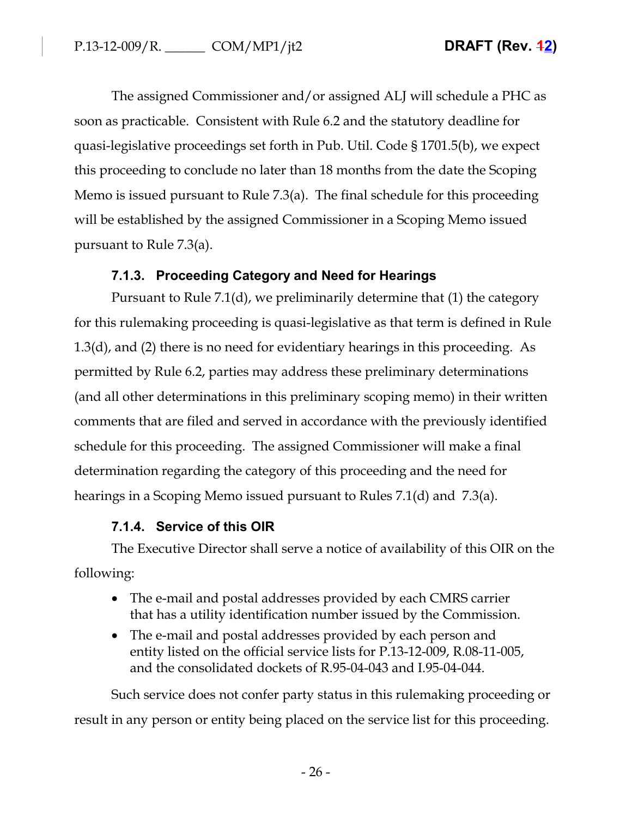The assigned Commissioner and/or assigned ALJ will schedule a PHC as soon as practicable. Consistent with Rule 6.2 and the statutory deadline for quasi-legislative proceedings set forth in Pub. Util. Code § 1701.5(b), we expect this proceeding to conclude no later than 18 months from the date the Scoping Memo is issued pursuant to Rule 7.3(a). The final schedule for this proceeding will be established by the assigned Commissioner in a Scoping Memo issued pursuant to Rule 7.3(a).

# **7.1.3. Proceeding Category and Need for Hearings**

Pursuant to Rule 7.1(d), we preliminarily determine that (1) the category for this rulemaking proceeding is quasi-legislative as that term is defined in Rule 1.3(d), and (2) there is no need for evidentiary hearings in this proceeding. As permitted by Rule 6.2, parties may address these preliminary determinations (and all other determinations in this preliminary scoping memo) in their written comments that are filed and served in accordance with the previously identified schedule for this proceeding. The assigned Commissioner will make a final determination regarding the category of this proceeding and the need for hearings in a Scoping Memo issued pursuant to Rules 7.1(d) and 7.3(a).

# **7.1.4. Service of this OIR**

The Executive Director shall serve a notice of availability of this OIR on the following:

- The e-mail and postal addresses provided by each CMRS carrier that has a utility identification number issued by the Commission.
- The e-mail and postal addresses provided by each person and entity listed on the official service lists for P.13-12-009, R.08-11-005, and the consolidated dockets of R.95-04-043 and I.95-04-044.

Such service does not confer party status in this rulemaking proceeding or result in any person or entity being placed on the service list for this proceeding.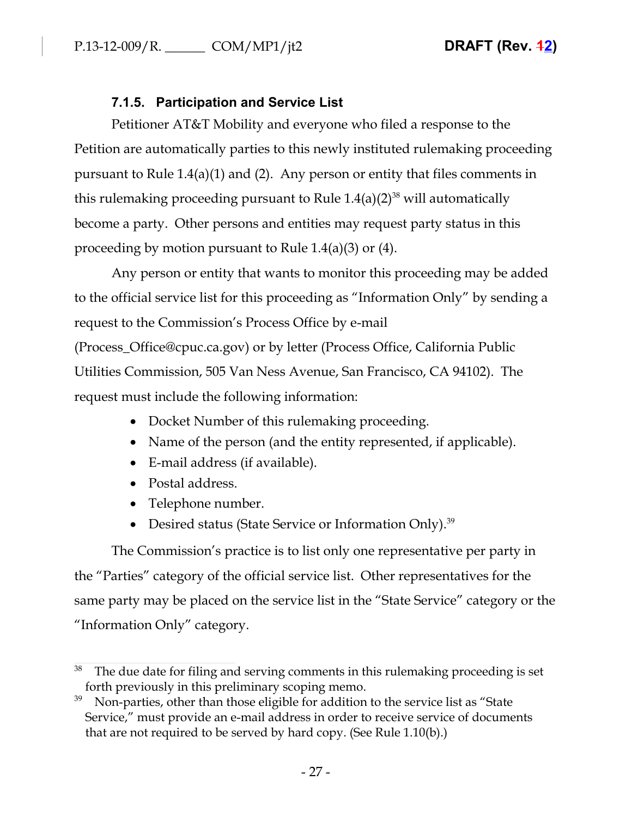# **7.1.5. Participation and Service List**

Petitioner AT&T Mobility and everyone who filed a response to the Petition are automatically parties to this newly instituted rulemaking proceeding pursuant to Rule 1.4(a)(1) and (2). Any person or entity that files comments in this rulemaking proceeding pursuant to Rule  $1.4(a)(2)^{38}$  will automatically become a party. Other persons and entities may request party status in this proceeding by motion pursuant to Rule 1.4(a)(3) or (4).

Any person or entity that wants to monitor this proceeding may be added to the official service list for this proceeding as "Information Only" by sending a request to the Commission's Process Office by e-mail (Process\_Office@cpuc.ca.gov) or by letter (Process Office, California Public Utilities Commission, 505 Van Ness Avenue, San Francisco, CA 94102). The request must include the following information:

- Docket Number of this rulemaking proceeding.
- Name of the person (and the entity represented, if applicable).
- E-mail address (if available).
- Postal address.
- Telephone number.
- Desired status (State Service or Information Only).<sup>39</sup>

The Commission's practice is to list only one representative per party in the "Parties" category of the official service list. Other representatives for the same party may be placed on the service list in the "State Service" category or the "Information Only" category.

 $38$  The due date for filing and serving comments in this rulemaking proceeding is set forth previously in this preliminary scoping memo.

 $39$  Non-parties, other than those eligible for addition to the service list as "State Service," must provide an e-mail address in order to receive service of documents that are not required to be served by hard copy. (See Rule 1.10(b).)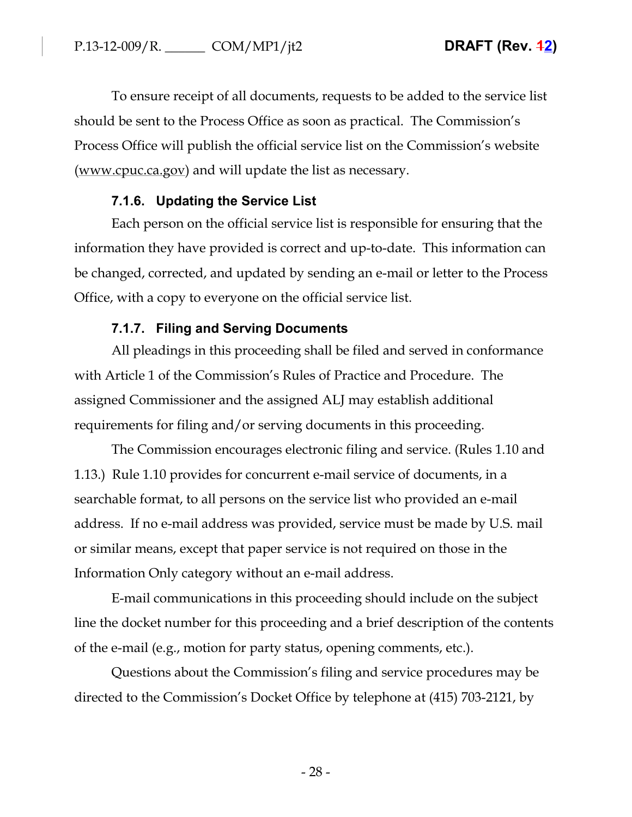To ensure receipt of all documents, requests to be added to the service list should be sent to the Process Office as soon as practical. The Commission's Process Office will publish the official service list on the Commission's website (www.cpuc.ca.gov) and will update the list as necessary.

# **7.1.6. Updating the Service List**

Each person on the official service list is responsible for ensuring that the information they have provided is correct and up-to-date. This information can be changed, corrected, and updated by sending an e-mail or letter to the Process Office, with a copy to everyone on the official service list.

# **7.1.7. Filing and Serving Documents**

All pleadings in this proceeding shall be filed and served in conformance with Article 1 of the Commission's Rules of Practice and Procedure. The assigned Commissioner and the assigned ALJ may establish additional requirements for filing and/or serving documents in this proceeding.

The Commission encourages electronic filing and service. (Rules 1.10 and 1.13.) Rule 1.10 provides for concurrent e-mail service of documents, in a searchable format, to all persons on the service list who provided an e-mail address. If no e-mail address was provided, service must be made by U.S. mail or similar means, except that paper service is not required on those in the Information Only category without an e-mail address.

E-mail communications in this proceeding should include on the subject line the docket number for this proceeding and a brief description of the contents of the e-mail (e.g., motion for party status, opening comments, etc.).

Questions about the Commission's filing and service procedures may be directed to the Commission's Docket Office by telephone at (415) 703-2121, by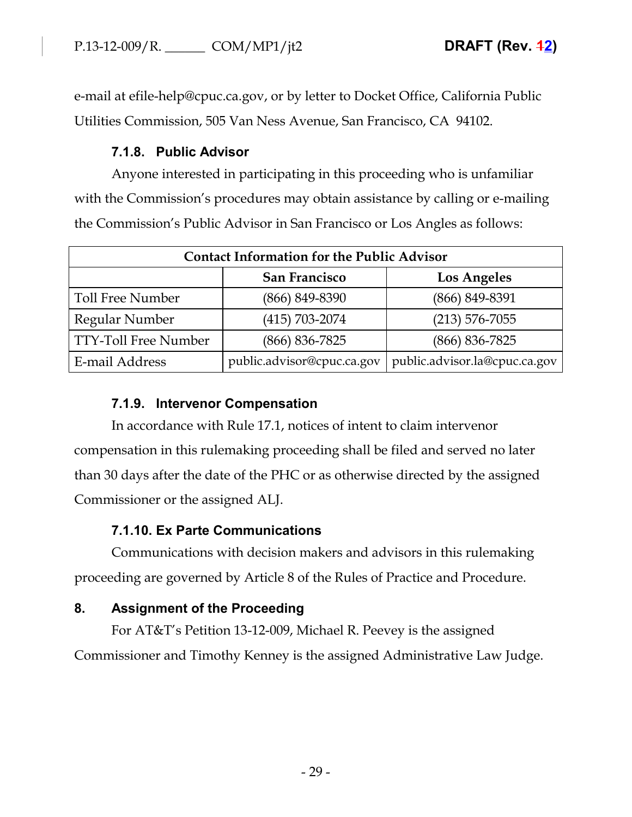e-mail at efile-help@cpuc.ca.gov, or by letter to Docket Office, California Public Utilities Commission, 505 Van Ness Avenue, San Francisco, CA 94102.

# **7.1.8. Public Advisor**

Anyone interested in participating in this proceeding who is unfamiliar with the Commission's procedures may obtain assistance by calling or e-mailing the Commission's Public Advisor in San Francisco or Los Angles as follows:

| <b>Contact Information for the Public Advisor</b> |                            |                               |  |
|---------------------------------------------------|----------------------------|-------------------------------|--|
|                                                   | San Francisco              | <b>Los Angeles</b>            |  |
| <b>Toll Free Number</b>                           | (866) 849-8390             | (866) 849-8391                |  |
| Regular Number                                    | $(415) 703 - 2074$         | $(213) 576 - 7055$            |  |
| <b>TTY-Toll Free Number</b>                       | (866) 836-7825             | $(866) 836 - 7825$            |  |
| E-mail Address                                    | public.advisor@cpuc.ca.gov | public.advisor.la@cpuc.ca.gov |  |

# **7.1.9. Intervenor Compensation**

In accordance with Rule 17.1, notices of intent to claim intervenor compensation in this rulemaking proceeding shall be filed and served no later than 30 days after the date of the PHC or as otherwise directed by the assigned Commissioner or the assigned ALJ.

# **7.1.10. Ex Parte Communications**

Communications with decision makers and advisors in this rulemaking proceeding are governed by Article 8 of the Rules of Practice and Procedure.

# **8. Assignment of the Proceeding**

For AT&T's Petition 13-12-009, Michael R. Peevey is the assigned Commissioner and Timothy Kenney is the assigned Administrative Law Judge.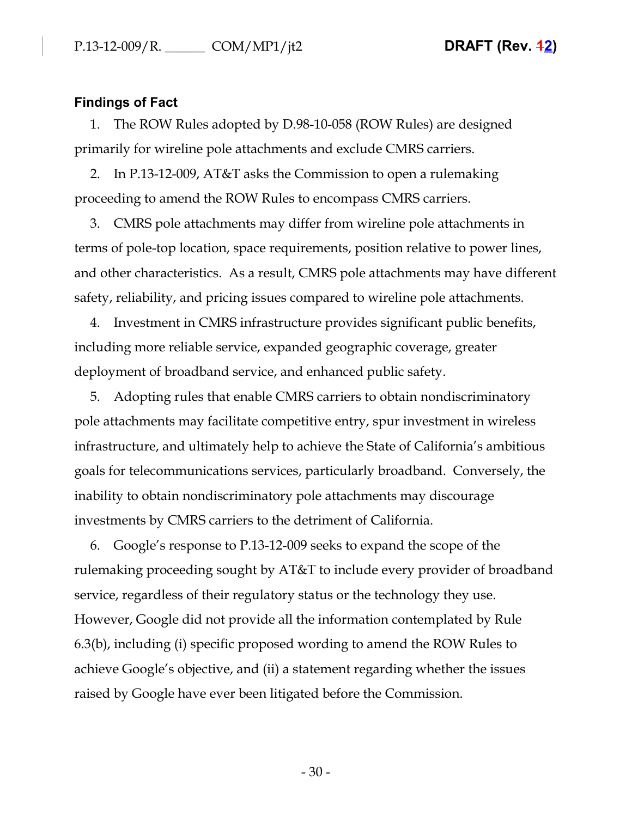## **Findings of Fact**

1. The ROW Rules adopted by D.98-10-058 (ROW Rules) are designed primarily for wireline pole attachments and exclude CMRS carriers.

2. In P.13-12-009, AT&T asks the Commission to open a rulemaking proceeding to amend the ROW Rules to encompass CMRS carriers.

3. CMRS pole attachments may differ from wireline pole attachments in terms of pole-top location, space requirements, position relative to power lines, and other characteristics. As a result, CMRS pole attachments may have different safety, reliability, and pricing issues compared to wireline pole attachments.

4. Investment in CMRS infrastructure provides significant public benefits, including more reliable service, expanded geographic coverage, greater deployment of broadband service, and enhanced public safety.

5. Adopting rules that enable CMRS carriers to obtain nondiscriminatory pole attachments may facilitate competitive entry, spur investment in wireless infrastructure, and ultimately help to achieve the State of California's ambitious goals for telecommunications services, particularly broadband. Conversely, the inability to obtain nondiscriminatory pole attachments may discourage investments by CMRS carriers to the detriment of California.

6. Google's response to P.13-12-009 seeks to expand the scope of the rulemaking proceeding sought by AT&T to include every provider of broadband service, regardless of their regulatory status or the technology they use. However, Google did not provide all the information contemplated by Rule 6.3(b), including (i) specific proposed wording to amend the ROW Rules to achieve Google's objective, and (ii) a statement regarding whether the issues raised by Google have ever been litigated before the Commission.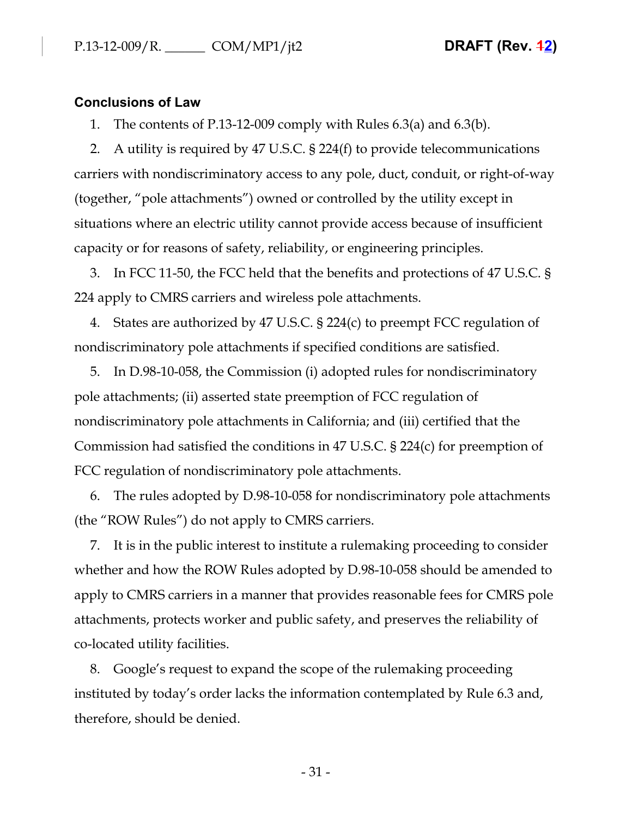### **Conclusions of Law**

1. The contents of P.13-12-009 comply with Rules 6.3(a) and 6.3(b).

2. A utility is required by 47 U.S.C. § 224(f) to provide telecommunications carriers with nondiscriminatory access to any pole, duct, conduit, or right-of-way (together, "pole attachments") owned or controlled by the utility except in situations where an electric utility cannot provide access because of insufficient capacity or for reasons of safety, reliability, or engineering principles.

3. In FCC 11-50, the FCC held that the benefits and protections of 47 U.S.C. § 224 apply to CMRS carriers and wireless pole attachments.

4. States are authorized by 47 U.S.C. § 224(c) to preempt FCC regulation of nondiscriminatory pole attachments if specified conditions are satisfied.

5. In D.98-10-058, the Commission (i) adopted rules for nondiscriminatory pole attachments; (ii) asserted state preemption of FCC regulation of nondiscriminatory pole attachments in California; and (iii) certified that the Commission had satisfied the conditions in 47 U.S.C. § 224(c) for preemption of FCC regulation of nondiscriminatory pole attachments.

6. The rules adopted by D.98-10-058 for nondiscriminatory pole attachments (the "ROW Rules") do not apply to CMRS carriers.

7. It is in the public interest to institute a rulemaking proceeding to consider whether and how the ROW Rules adopted by D.98-10-058 should be amended to apply to CMRS carriers in a manner that provides reasonable fees for CMRS pole attachments, protects worker and public safety, and preserves the reliability of co-located utility facilities.

8. Google's request to expand the scope of the rulemaking proceeding instituted by today's order lacks the information contemplated by Rule 6.3 and, therefore, should be denied.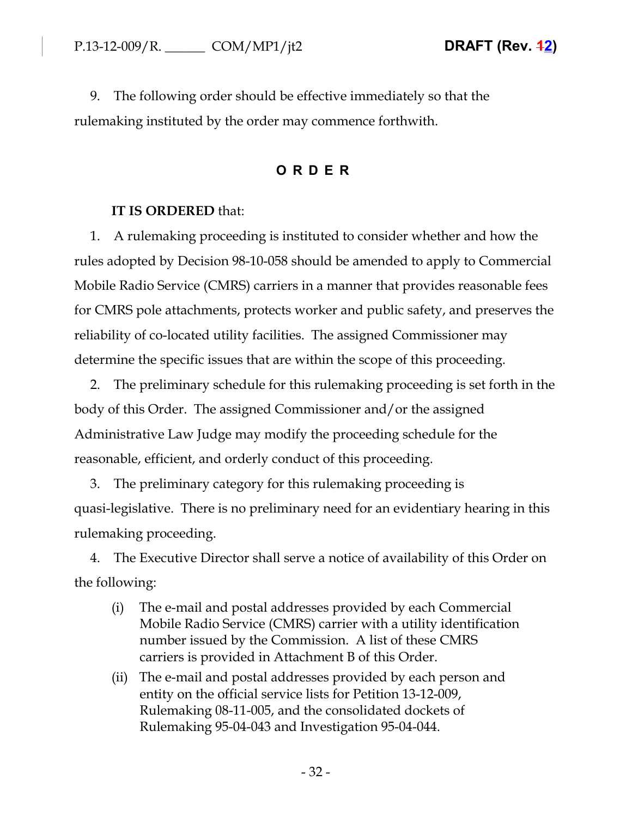9. The following order should be effective immediately so that the rulemaking instituted by the order may commence forthwith.

# **ORDER**

## **IT IS ORDERED** that:

1. A rulemaking proceeding is instituted to consider whether and how the rules adopted by Decision 98-10-058 should be amended to apply to Commercial Mobile Radio Service (CMRS) carriers in a manner that provides reasonable fees for CMRS pole attachments, protects worker and public safety, and preserves the reliability of co-located utility facilities. The assigned Commissioner may determine the specific issues that are within the scope of this proceeding.

2. The preliminary schedule for this rulemaking proceeding is set forth in the body of this Order. The assigned Commissioner and/or the assigned Administrative Law Judge may modify the proceeding schedule for the reasonable, efficient, and orderly conduct of this proceeding.

3. The preliminary category for this rulemaking proceeding is quasi-legislative. There is no preliminary need for an evidentiary hearing in this rulemaking proceeding.

4. The Executive Director shall serve a notice of availability of this Order on the following:

- (i) The e-mail and postal addresses provided by each Commercial Mobile Radio Service (CMRS) carrier with a utility identification number issued by the Commission. A list of these CMRS carriers is provided in Attachment B of this Order.
- (ii) The e-mail and postal addresses provided by each person and entity on the official service lists for Petition 13-12-009, Rulemaking 08-11-005, and the consolidated dockets of Rulemaking 95-04-043 and Investigation 95-04-044.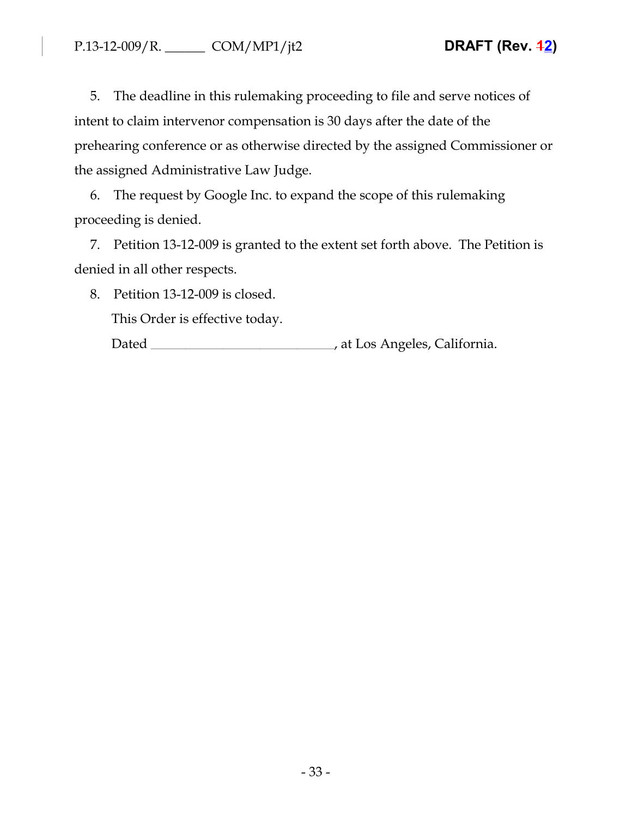5. The deadline in this rulemaking proceeding to file and serve notices of intent to claim intervenor compensation is 30 days after the date of the prehearing conference or as otherwise directed by the assigned Commissioner or the assigned Administrative Law Judge.

6. The request by Google Inc. to expand the scope of this rulemaking proceeding is denied.

7. Petition 13-12-009 is granted to the extent set forth above. The Petition is denied in all other respects.

8. Petition 13-12-009 is closed.

This Order is effective today.

Dated , at Los Angeles, California.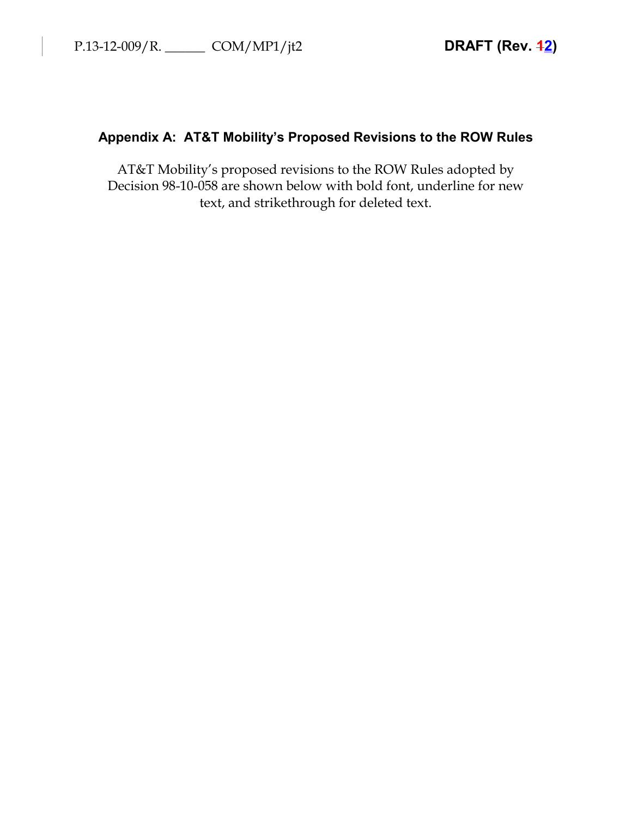# **Appendix A: AT&T Mobility's Proposed Revisions to the ROW Rules**

AT&T Mobility's proposed revisions to the ROW Rules adopted by Decision 98-10-058 are shown below with bold font, underline for new text, and strikethrough for deleted text.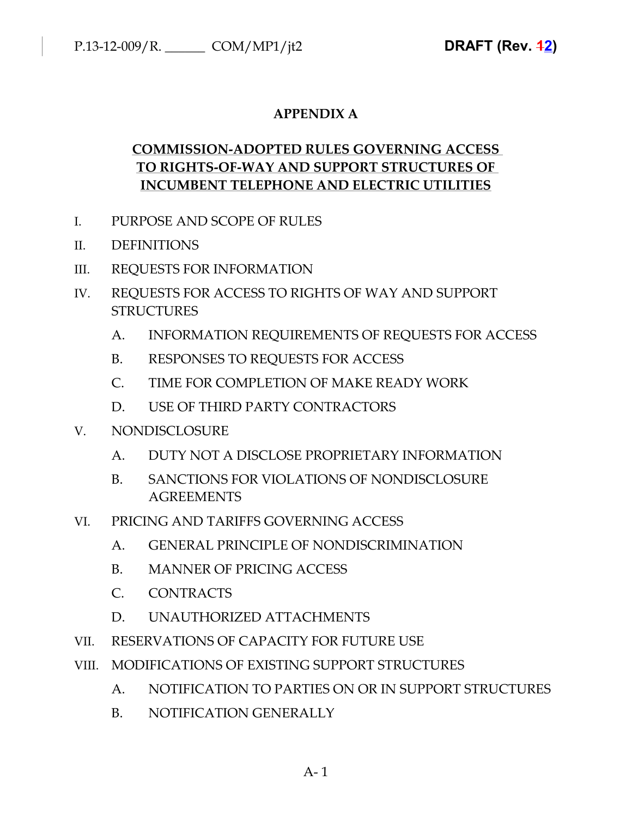# **APPENDIX A**

# **COMMISSION-ADOPTED RULES GOVERNING ACCESS TO RIGHTS-OF-WAY AND SUPPORT STRUCTURES OF INCUMBENT TELEPHONE AND ELECTRIC UTILITIES**

- I. PURPOSE AND SCOPE OF RULES
- II. DEFINITIONS
- III. REQUESTS FOR INFORMATION
- IV. REQUESTS FOR ACCESS TO RIGHTS OF WAY AND SUPPORT **STRUCTURES** 
	- A. INFORMATION REQUIREMENTS OF REQUESTS FOR ACCESS
	- B. RESPONSES TO REQUESTS FOR ACCESS
	- C. TIME FOR COMPLETION OF MAKE READY WORK
	- D. USE OF THIRD PARTY CONTRACTORS
- V. NONDISCLOSURE
	- A. DUTY NOT A DISCLOSE PROPRIETARY INFORMATION
	- B. SANCTIONS FOR VIOLATIONS OF NONDISCLOSURE AGREEMENTS
- VI. PRICING AND TARIFFS GOVERNING ACCESS
	- A. GENERAL PRINCIPLE OF NONDISCRIMINATION
	- B. MANNER OF PRICING ACCESS
	- C. CONTRACTS
	- D. UNAUTHORIZED ATTACHMENTS
- VII. RESERVATIONS OF CAPACITY FOR FUTURE USE
- VIII. MODIFICATIONS OF EXISTING SUPPORT STRUCTURES
	- A. NOTIFICATION TO PARTIES ON OR IN SUPPORT STRUCTURES
	- B. NOTIFICATION GENERALLY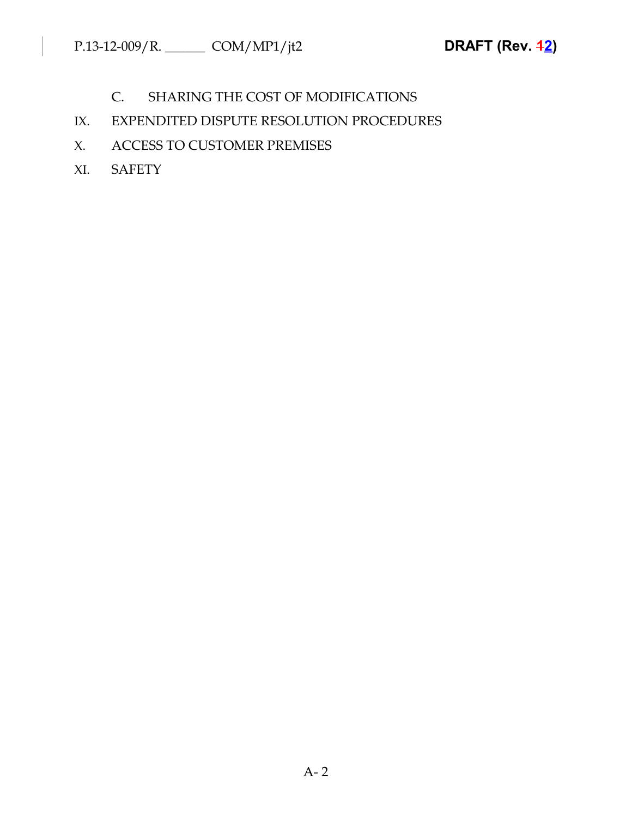- C. SHARING THE COST OF MODIFICATIONS
- IX. EXPENDITED DISPUTE RESOLUTION PROCEDURES
- X. ACCESS TO CUSTOMER PREMISES
- XI. SAFETY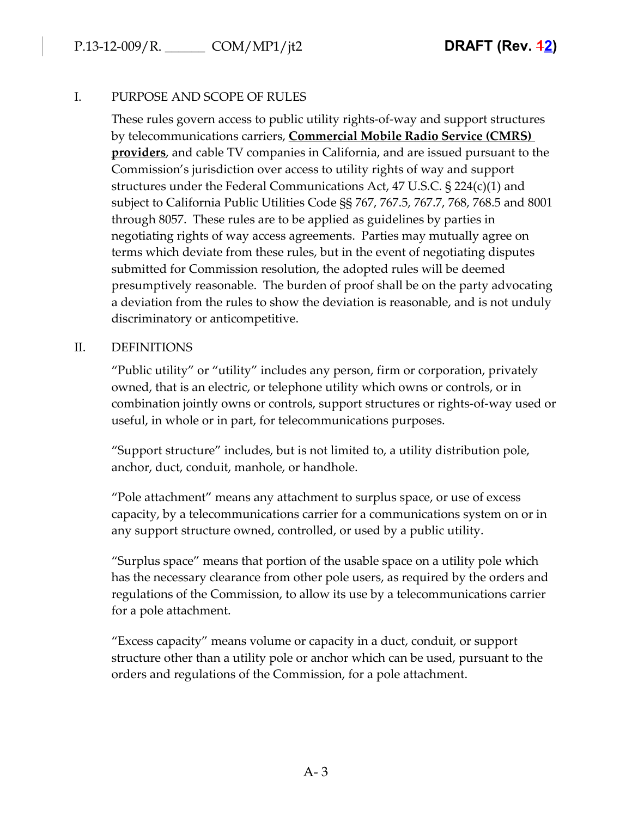## I. PURPOSE AND SCOPE OF RULES

These rules govern access to public utility rights-of-way and support structures by telecommunications carriers, **Commercial Mobile Radio Service (CMRS) providers**, and cable TV companies in California, and are issued pursuant to the Commission's jurisdiction over access to utility rights of way and support structures under the Federal Communications Act, 47 U.S.C. § 224(c)(1) and subject to California Public Utilities Code §§ 767, 767.5, 767.7, 768, 768.5 and 8001 through 8057. These rules are to be applied as guidelines by parties in negotiating rights of way access agreements. Parties may mutually agree on terms which deviate from these rules, but in the event of negotiating disputes submitted for Commission resolution, the adopted rules will be deemed presumptively reasonable. The burden of proof shall be on the party advocating a deviation from the rules to show the deviation is reasonable, and is not unduly discriminatory or anticompetitive.

### II. DEFINITIONS

"Public utility" or "utility" includes any person, firm or corporation, privately owned, that is an electric, or telephone utility which owns or controls, or in combination jointly owns or controls, support structures or rights-of-way used or useful, in whole or in part, for telecommunications purposes.

"Support structure" includes, but is not limited to, a utility distribution pole, anchor, duct, conduit, manhole, or handhole.

"Pole attachment" means any attachment to surplus space, or use of excess capacity, by a telecommunications carrier for a communications system on or in any support structure owned, controlled, or used by a public utility.

"Surplus space" means that portion of the usable space on a utility pole which has the necessary clearance from other pole users, as required by the orders and regulations of the Commission, to allow its use by a telecommunications carrier for a pole attachment.

"Excess capacity" means volume or capacity in a duct, conduit, or support structure other than a utility pole or anchor which can be used, pursuant to the orders and regulations of the Commission, for a pole attachment.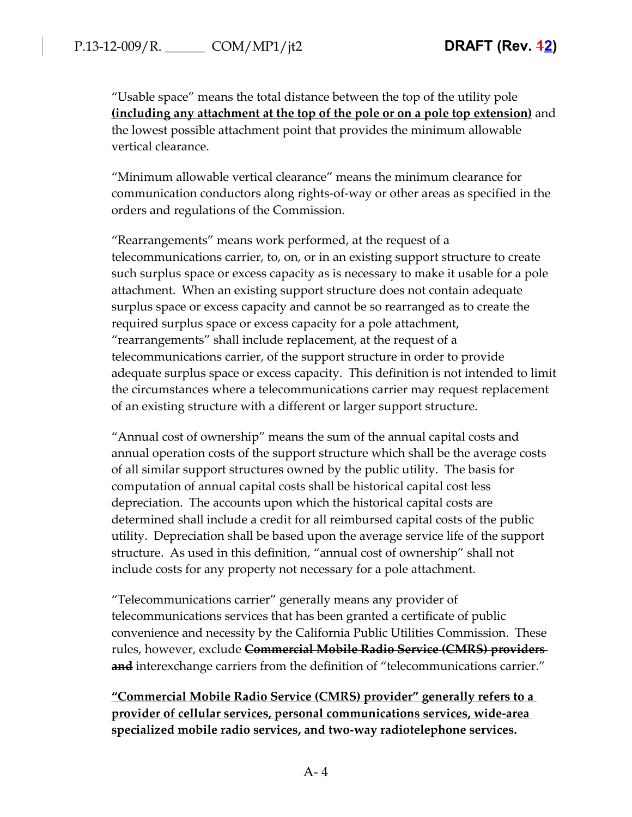"Usable space" means the total distance between the top of the utility pole **(including any attachment at the top of the pole or on a pole top extension)** and the lowest possible attachment point that provides the minimum allowable vertical clearance.

"Minimum allowable vertical clearance" means the minimum clearance for communication conductors along rights-of-way or other areas as specified in the orders and regulations of the Commission.

"Rearrangements" means work performed, at the request of a telecommunications carrier, to, on, or in an existing support structure to create such surplus space or excess capacity as is necessary to make it usable for a pole attachment. When an existing support structure does not contain adequate surplus space or excess capacity and cannot be so rearranged as to create the required surplus space or excess capacity for a pole attachment, "rearrangements" shall include replacement, at the request of a telecommunications carrier, of the support structure in order to provide adequate surplus space or excess capacity. This definition is not intended to limit the circumstances where a telecommunications carrier may request replacement of an existing structure with a different or larger support structure.

"Annual cost of ownership" means the sum of the annual capital costs and annual operation costs of the support structure which shall be the average costs of all similar support structures owned by the public utility. The basis for computation of annual capital costs shall be historical capital cost less depreciation. The accounts upon which the historical capital costs are determined shall include a credit for all reimbursed capital costs of the public utility. Depreciation shall be based upon the average service life of the support structure. As used in this definition, "annual cost of ownership" shall not include costs for any property not necessary for a pole attachment.

"Telecommunications carrier" generally means any provider of telecommunications services that has been granted a certificate of public convenience and necessity by the California Public Utilities Commission. These rules, however, exclude **Commercial Mobile Radio Service (CMRS) providers and** interexchange carriers from the definition of "telecommunications carrier."

**"Commercial Mobile Radio Service (CMRS) provider" generally refers to a provider of cellular services, personal communications services, wide-area specialized mobile radio services, and two-way radiotelephone services.**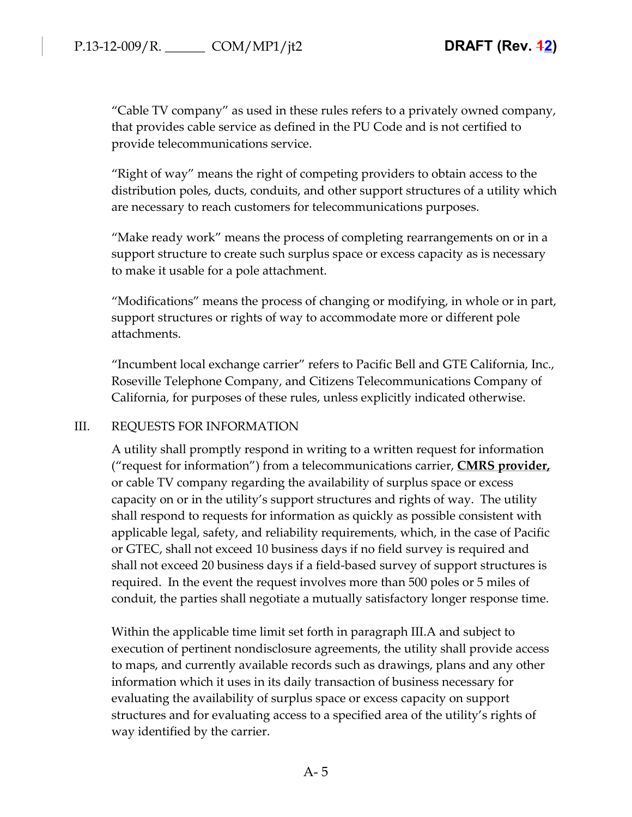"Cable TV company" as used in these rules refers to a privately owned company, that provides cable service as defined in the PU Code and is not certified to provide telecommunications service.

"Right of way" means the right of competing providers to obtain access to the distribution poles, ducts, conduits, and other support structures of a utility which are necessary to reach customers for telecommunications purposes.

"Make ready work" means the process of completing rearrangements on or in a support structure to create such surplus space or excess capacity as is necessary to make it usable for a pole attachment.

"Modifications" means the process of changing or modifying, in whole or in part, support structures or rights of way to accommodate more or different pole attachments.

"Incumbent local exchange carrier" refers to Pacific Bell and GTE California, Inc., Roseville Telephone Company, and Citizens Telecommunications Company of California, for purposes of these rules, unless explicitly indicated otherwise.

#### III. REQUESTS FOR INFORMATION

A utility shall promptly respond in writing to a written request for information ("request for information") from a telecommunications carrier, **CMRS provider,** or cable TV company regarding the availability of surplus space or excess capacity on or in the utility's support structures and rights of way. The utility shall respond to requests for information as quickly as possible consistent with applicable legal, safety, and reliability requirements, which, in the case of Pacific or GTEC, shall not exceed 10 business days if no field survey is required and shall not exceed 20 business days if a field-based survey of support structures is required. In the event the request involves more than 500 poles or 5 miles of conduit, the parties shall negotiate a mutually satisfactory longer response time.

Within the applicable time limit set forth in paragraph III.A and subject to execution of pertinent nondisclosure agreements, the utility shall provide access to maps, and currently available records such as drawings, plans and any other information which it uses in its daily transaction of business necessary for evaluating the availability of surplus space or excess capacity on support structures and for evaluating access to a specified area of the utility's rights of way identified by the carrier.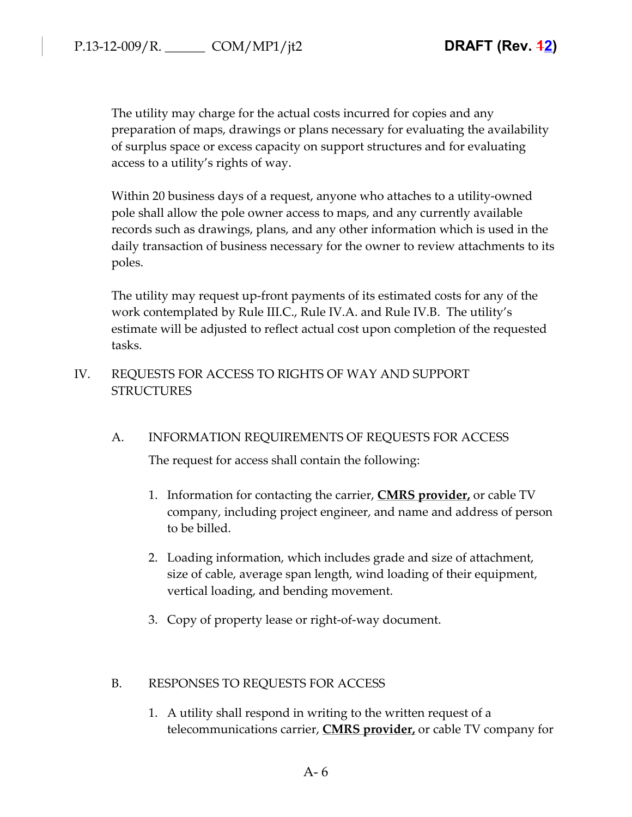The utility may charge for the actual costs incurred for copies and any preparation of maps, drawings or plans necessary for evaluating the availability of surplus space or excess capacity on support structures and for evaluating access to a utility's rights of way.

Within 20 business days of a request, anyone who attaches to a utility-owned pole shall allow the pole owner access to maps, and any currently available records such as drawings, plans, and any other information which is used in the daily transaction of business necessary for the owner to review attachments to its poles.

The utility may request up-front payments of its estimated costs for any of the work contemplated by Rule III.C., Rule IV.A. and Rule IV.B. The utility's estimate will be adjusted to reflect actual cost upon completion of the requested tasks.

IV. REQUESTS FOR ACCESS TO RIGHTS OF WAY AND SUPPORT STRUCTURES

### A. INFORMATION REQUIREMENTS OF REQUESTS FOR ACCESS

The request for access shall contain the following:

- 1. Information for contacting the carrier, **CMRS provider,** or cable TV company, including project engineer, and name and address of person to be billed.
- 2. Loading information, which includes grade and size of attachment, size of cable, average span length, wind loading of their equipment, vertical loading, and bending movement.
- 3. Copy of property lease or right-of-way document.

### B. RESPONSES TO REQUESTS FOR ACCESS

1. A utility shall respond in writing to the written request of a telecommunications carrier, **CMRS provider,** or cable TV company for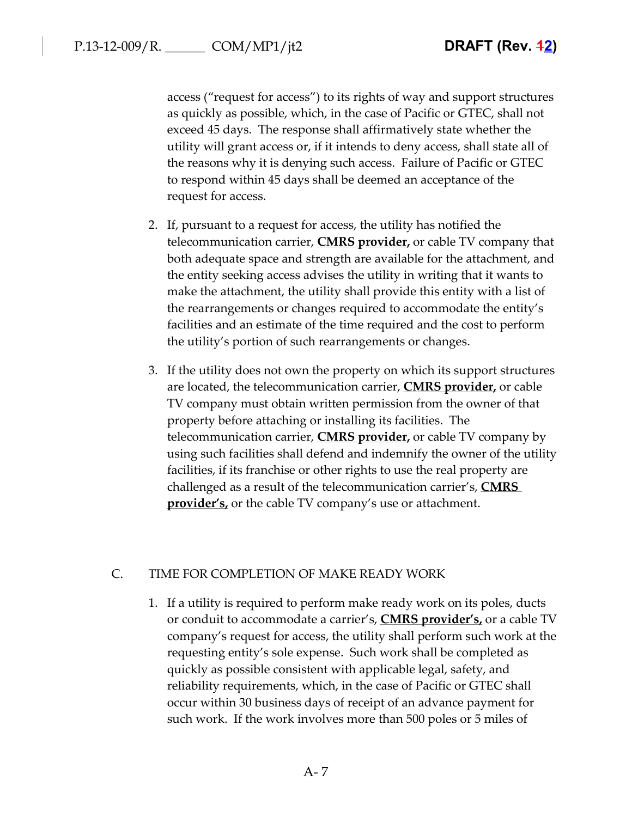access ("request for access") to its rights of way and support structures as quickly as possible, which, in the case of Pacific or GTEC, shall not exceed 45 days. The response shall affirmatively state whether the utility will grant access or, if it intends to deny access, shall state all of the reasons why it is denying such access. Failure of Pacific or GTEC to respond within 45 days shall be deemed an acceptance of the request for access.

- 2. If, pursuant to a request for access, the utility has notified the telecommunication carrier, **CMRS provider,** or cable TV company that both adequate space and strength are available for the attachment, and the entity seeking access advises the utility in writing that it wants to make the attachment, the utility shall provide this entity with a list of the rearrangements or changes required to accommodate the entity's facilities and an estimate of the time required and the cost to perform the utility's portion of such rearrangements or changes.
- 3. If the utility does not own the property on which its support structures are located, the telecommunication carrier, **CMRS provider,** or cable TV company must obtain written permission from the owner of that property before attaching or installing its facilities. The telecommunication carrier, **CMRS provider,** or cable TV company by using such facilities shall defend and indemnify the owner of the utility facilities, if its franchise or other rights to use the real property are challenged as a result of the telecommunication carrier's, **CMRS provider's,** or the cable TV company's use or attachment.

#### C. TIME FOR COMPLETION OF MAKE READY WORK

1. If a utility is required to perform make ready work on its poles, ducts or conduit to accommodate a carrier's, **CMRS provider's,** or a cable TV company's request for access, the utility shall perform such work at the requesting entity's sole expense. Such work shall be completed as quickly as possible consistent with applicable legal, safety, and reliability requirements, which, in the case of Pacific or GTEC shall occur within 30 business days of receipt of an advance payment for such work. If the work involves more than 500 poles or 5 miles of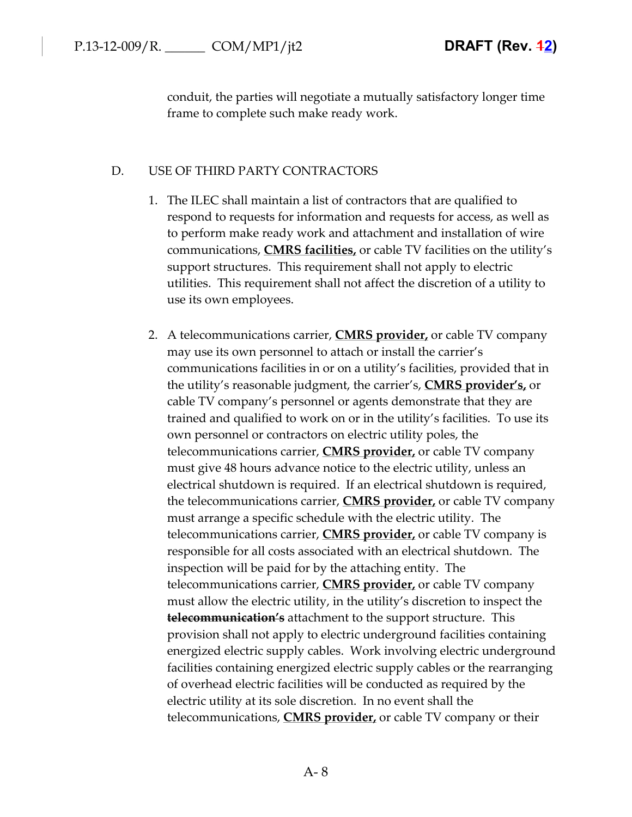conduit, the parties will negotiate a mutually satisfactory longer time frame to complete such make ready work.

#### D. USE OF THIRD PARTY CONTRACTORS

- 1. The ILEC shall maintain a list of contractors that are qualified to respond to requests for information and requests for access, as well as to perform make ready work and attachment and installation of wire communications, **CMRS facilities,** or cable TV facilities on the utility's support structures. This requirement shall not apply to electric utilities. This requirement shall not affect the discretion of a utility to use its own employees.
- 2. A telecommunications carrier, **CMRS provider,** or cable TV company may use its own personnel to attach or install the carrier's communications facilities in or on a utility's facilities, provided that in the utility's reasonable judgment, the carrier's, **CMRS provider's,** or cable TV company's personnel or agents demonstrate that they are trained and qualified to work on or in the utility's facilities. To use its own personnel or contractors on electric utility poles, the telecommunications carrier, **CMRS provider,** or cable TV company must give 48 hours advance notice to the electric utility, unless an electrical shutdown is required. If an electrical shutdown is required, the telecommunications carrier, **CMRS provider,** or cable TV company must arrange a specific schedule with the electric utility. The telecommunications carrier, **CMRS provider,** or cable TV company is responsible for all costs associated with an electrical shutdown. The inspection will be paid for by the attaching entity. The telecommunications carrier, **CMRS provider,** or cable TV company must allow the electric utility, in the utility's discretion to inspect the **telecommunication's** attachment to the support structure. This provision shall not apply to electric underground facilities containing energized electric supply cables. Work involving electric underground facilities containing energized electric supply cables or the rearranging of overhead electric facilities will be conducted as required by the electric utility at its sole discretion. In no event shall the telecommunications, **CMRS provider,** or cable TV company or their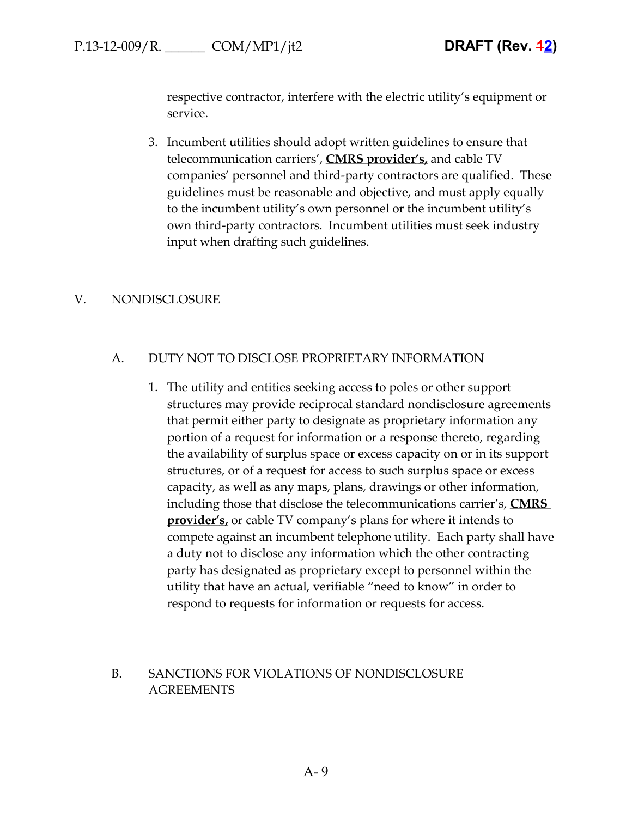respective contractor, interfere with the electric utility's equipment or service.

3. Incumbent utilities should adopt written guidelines to ensure that telecommunication carriers', **CMRS provider's,** and cable TV companies' personnel and third-party contractors are qualified. These guidelines must be reasonable and objective, and must apply equally to the incumbent utility's own personnel or the incumbent utility's own third-party contractors. Incumbent utilities must seek industry input when drafting such guidelines.

### V. NONDISCLOSURE

## A. DUTY NOT TO DISCLOSE PROPRIETARY INFORMATION

1. The utility and entities seeking access to poles or other support structures may provide reciprocal standard nondisclosure agreements that permit either party to designate as proprietary information any portion of a request for information or a response thereto, regarding the availability of surplus space or excess capacity on or in its support structures, or of a request for access to such surplus space or excess capacity, as well as any maps, plans, drawings or other information, including those that disclose the telecommunications carrier's, **CMRS provider's,** or cable TV company's plans for where it intends to compete against an incumbent telephone utility. Each party shall have a duty not to disclose any information which the other contracting party has designated as proprietary except to personnel within the utility that have an actual, verifiable "need to know" in order to respond to requests for information or requests for access.

# B. SANCTIONS FOR VIOLATIONS OF NONDISCLOSURE AGREEMENTS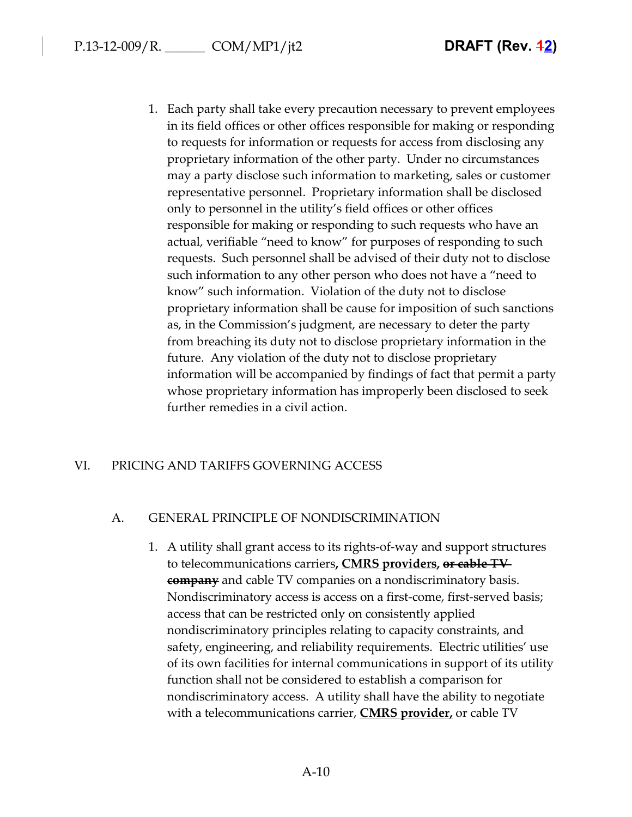1. Each party shall take every precaution necessary to prevent employees in its field offices or other offices responsible for making or responding to requests for information or requests for access from disclosing any proprietary information of the other party. Under no circumstances may a party disclose such information to marketing, sales or customer representative personnel. Proprietary information shall be disclosed only to personnel in the utility's field offices or other offices responsible for making or responding to such requests who have an actual, verifiable "need to know" for purposes of responding to such requests. Such personnel shall be advised of their duty not to disclose such information to any other person who does not have a "need to know" such information. Violation of the duty not to disclose proprietary information shall be cause for imposition of such sanctions as, in the Commission's judgment, are necessary to deter the party from breaching its duty not to disclose proprietary information in the future. Any violation of the duty not to disclose proprietary information will be accompanied by findings of fact that permit a party whose proprietary information has improperly been disclosed to seek further remedies in a civil action.

### VI. PRICING AND TARIFFS GOVERNING ACCESS

### A. GENERAL PRINCIPLE OF NONDISCRIMINATION

1. A utility shall grant access to its rights-of-way and support structures to telecommunications carriers**, CMRS providers, or cable TV company** and cable TV companies on a nondiscriminatory basis. Nondiscriminatory access is access on a first-come, first-served basis; access that can be restricted only on consistently applied nondiscriminatory principles relating to capacity constraints, and safety, engineering, and reliability requirements. Electric utilities' use of its own facilities for internal communications in support of its utility function shall not be considered to establish a comparison for nondiscriminatory access. A utility shall have the ability to negotiate with a telecommunications carrier, **CMRS provider,** or cable TV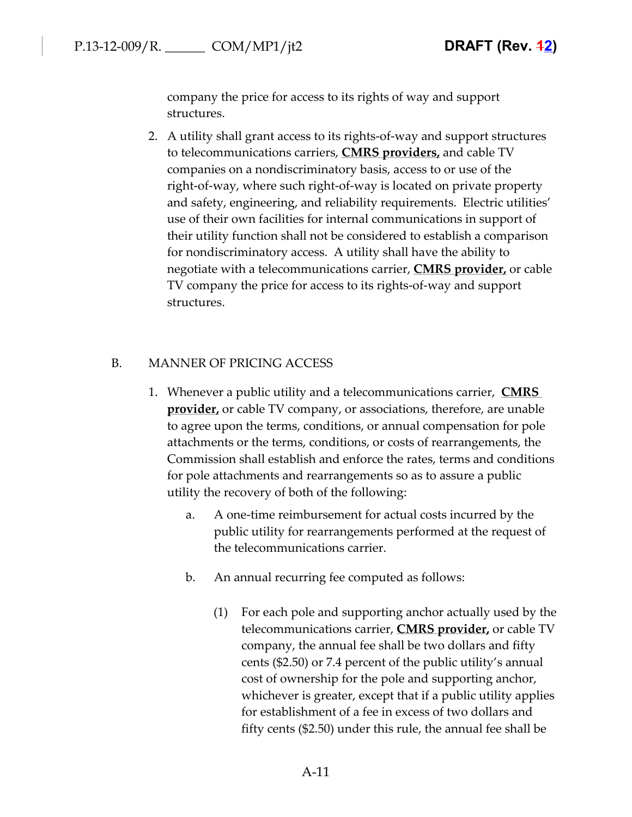company the price for access to its rights of way and support structures.

2. A utility shall grant access to its rights-of-way and support structures to telecommunications carriers, **CMRS providers,** and cable TV companies on a nondiscriminatory basis, access to or use of the right-of-way, where such right-of-way is located on private property and safety, engineering, and reliability requirements. Electric utilities' use of their own facilities for internal communications in support of their utility function shall not be considered to establish a comparison for nondiscriminatory access. A utility shall have the ability to negotiate with a telecommunications carrier, **CMRS provider,** or cable TV company the price for access to its rights-of-way and support structures.

#### B. MANNER OF PRICING ACCESS

- 1. Whenever a public utility and a telecommunications carrier, **CMRS provider,** or cable TV company, or associations, therefore, are unable to agree upon the terms, conditions, or annual compensation for pole attachments or the terms, conditions, or costs of rearrangements, the Commission shall establish and enforce the rates, terms and conditions for pole attachments and rearrangements so as to assure a public utility the recovery of both of the following:
	- a. A one-time reimbursement for actual costs incurred by the public utility for rearrangements performed at the request of the telecommunications carrier.
	- b. An annual recurring fee computed as follows:
		- (1) For each pole and supporting anchor actually used by the telecommunications carrier, **CMRS provider,** or cable TV company, the annual fee shall be two dollars and fifty cents (\$2.50) or 7.4 percent of the public utility's annual cost of ownership for the pole and supporting anchor, whichever is greater, except that if a public utility applies for establishment of a fee in excess of two dollars and fifty cents (\$2.50) under this rule, the annual fee shall be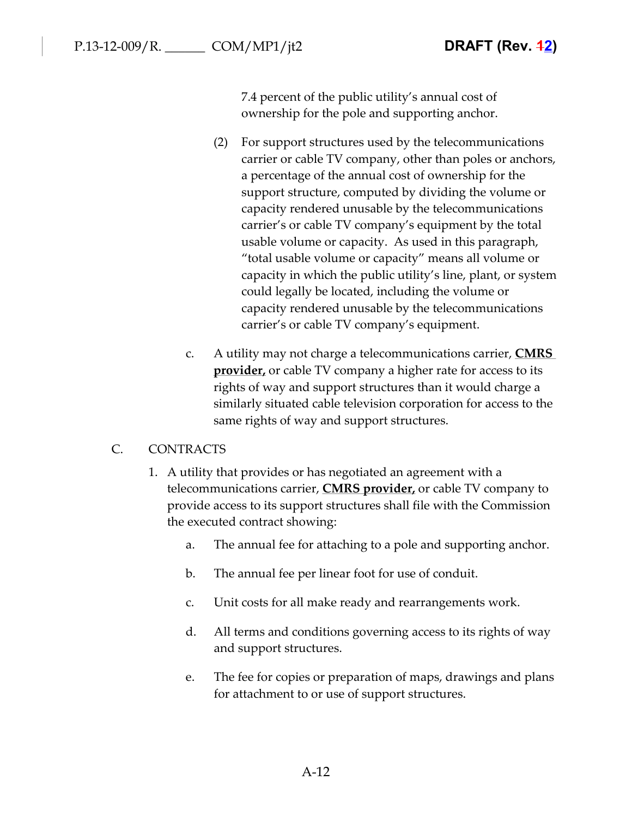7.4 percent of the public utility's annual cost of ownership for the pole and supporting anchor.

- (2) For support structures used by the telecommunications carrier or cable TV company, other than poles or anchors, a percentage of the annual cost of ownership for the support structure, computed by dividing the volume or capacity rendered unusable by the telecommunications carrier's or cable TV company's equipment by the total usable volume or capacity. As used in this paragraph, "total usable volume or capacity" means all volume or capacity in which the public utility's line, plant, or system could legally be located, including the volume or capacity rendered unusable by the telecommunications carrier's or cable TV company's equipment.
- c. A utility may not charge a telecommunications carrier, **CMRS provider**, or cable TV company a higher rate for access to its rights of way and support structures than it would charge a similarly situated cable television corporation for access to the same rights of way and support structures.

### C. CONTRACTS

- 1. A utility that provides or has negotiated an agreement with a telecommunications carrier, **CMRS provider,** or cable TV company to provide access to its support structures shall file with the Commission the executed contract showing:
	- a. The annual fee for attaching to a pole and supporting anchor.
	- b. The annual fee per linear foot for use of conduit.
	- c. Unit costs for all make ready and rearrangements work.
	- d. All terms and conditions governing access to its rights of way and support structures.
	- e. The fee for copies or preparation of maps, drawings and plans for attachment to or use of support structures.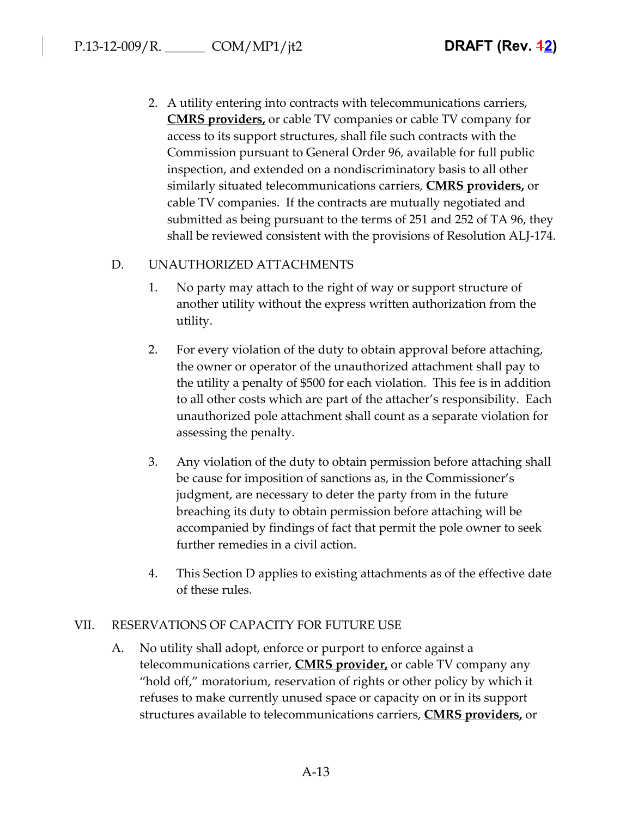2. A utility entering into contracts with telecommunications carriers, **CMRS providers,** or cable TV companies or cable TV company for access to its support structures, shall file such contracts with the Commission pursuant to General Order 96, available for full public inspection, and extended on a nondiscriminatory basis to all other similarly situated telecommunications carriers, **CMRS providers,** or cable TV companies. If the contracts are mutually negotiated and submitted as being pursuant to the terms of 251 and 252 of TA 96, they shall be reviewed consistent with the provisions of Resolution ALJ-174.

## D. UNAUTHORIZED ATTACHMENTS

- 1. No party may attach to the right of way or support structure of another utility without the express written authorization from the utility.
- 2. For every violation of the duty to obtain approval before attaching, the owner or operator of the unauthorized attachment shall pay to the utility a penalty of \$500 for each violation. This fee is in addition to all other costs which are part of the attacher's responsibility. Each unauthorized pole attachment shall count as a separate violation for assessing the penalty.
- 3. Any violation of the duty to obtain permission before attaching shall be cause for imposition of sanctions as, in the Commissioner's judgment, are necessary to deter the party from in the future breaching its duty to obtain permission before attaching will be accompanied by findings of fact that permit the pole owner to seek further remedies in a civil action.
- 4. This Section D applies to existing attachments as of the effective date of these rules.

#### VII. RESERVATIONS OF CAPACITY FOR FUTURE USE

A. No utility shall adopt, enforce or purport to enforce against a telecommunications carrier, **CMRS provider,** or cable TV company any "hold off," moratorium, reservation of rights or other policy by which it refuses to make currently unused space or capacity on or in its support structures available to telecommunications carriers, **CMRS providers,** or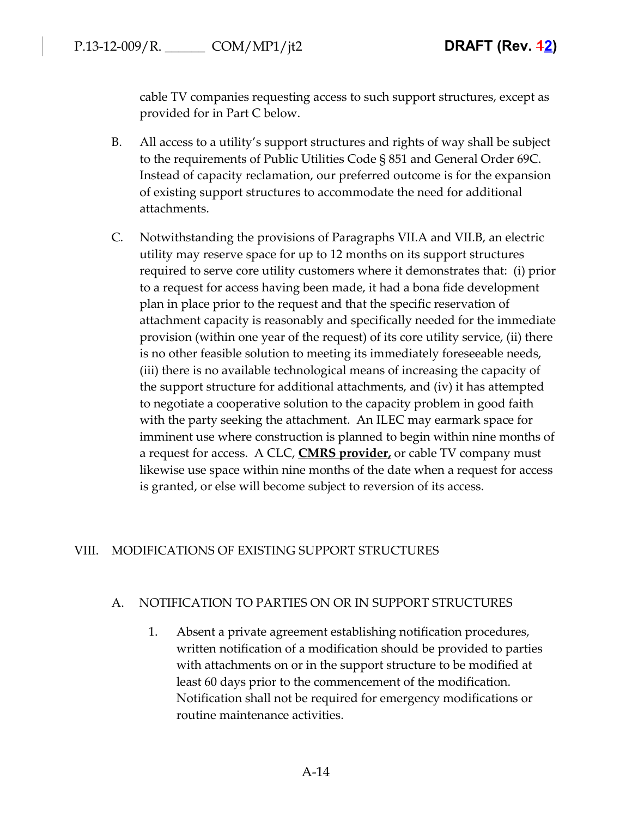cable TV companies requesting access to such support structures, except as provided for in Part C below.

- B. All access to a utility's support structures and rights of way shall be subject to the requirements of Public Utilities Code § 851 and General Order 69C. Instead of capacity reclamation, our preferred outcome is for the expansion of existing support structures to accommodate the need for additional attachments.
- C. Notwithstanding the provisions of Paragraphs VII.A and VII.B, an electric utility may reserve space for up to 12 months on its support structures required to serve core utility customers where it demonstrates that: (i) prior to a request for access having been made, it had a bona fide development plan in place prior to the request and that the specific reservation of attachment capacity is reasonably and specifically needed for the immediate provision (within one year of the request) of its core utility service, (ii) there is no other feasible solution to meeting its immediately foreseeable needs, (iii) there is no available technological means of increasing the capacity of the support structure for additional attachments, and (iv) it has attempted to negotiate a cooperative solution to the capacity problem in good faith with the party seeking the attachment. An ILEC may earmark space for imminent use where construction is planned to begin within nine months of a request for access. A CLC, **CMRS provider,** or cable TV company must likewise use space within nine months of the date when a request for access is granted, or else will become subject to reversion of its access.

# VIII. MODIFICATIONS OF EXISTING SUPPORT STRUCTURES

#### A. NOTIFICATION TO PARTIES ON OR IN SUPPORT STRUCTURES

1. Absent a private agreement establishing notification procedures, written notification of a modification should be provided to parties with attachments on or in the support structure to be modified at least 60 days prior to the commencement of the modification. Notification shall not be required for emergency modifications or routine maintenance activities.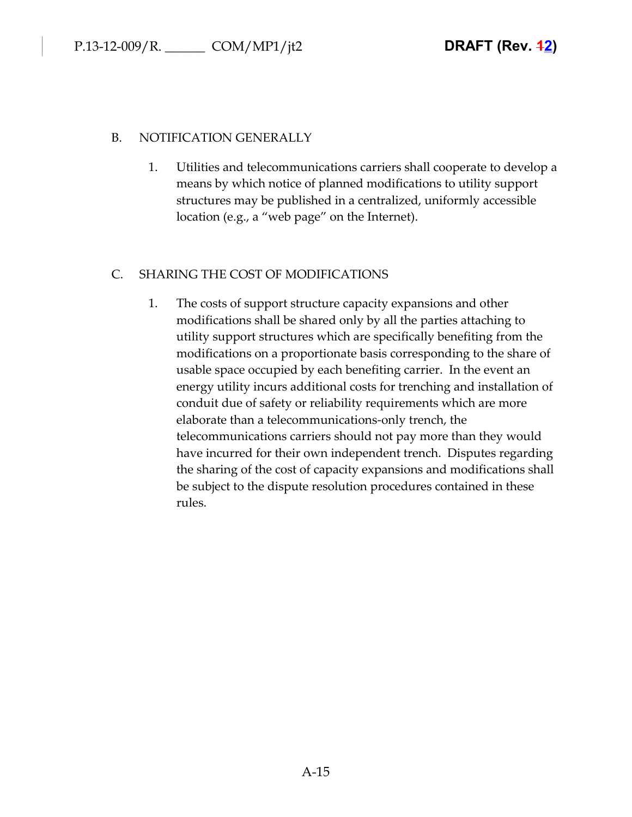### B. NOTIFICATION GENERALLY

1. Utilities and telecommunications carriers shall cooperate to develop a means by which notice of planned modifications to utility support structures may be published in a centralized, uniformly accessible location (e.g., a "web page" on the Internet).

# C. SHARING THE COST OF MODIFICATIONS

1. The costs of support structure capacity expansions and other modifications shall be shared only by all the parties attaching to utility support structures which are specifically benefiting from the modifications on a proportionate basis corresponding to the share of usable space occupied by each benefiting carrier. In the event an energy utility incurs additional costs for trenching and installation of conduit due of safety or reliability requirements which are more elaborate than a telecommunications-only trench, the telecommunications carriers should not pay more than they would have incurred for their own independent trench. Disputes regarding the sharing of the cost of capacity expansions and modifications shall be subject to the dispute resolution procedures contained in these rules.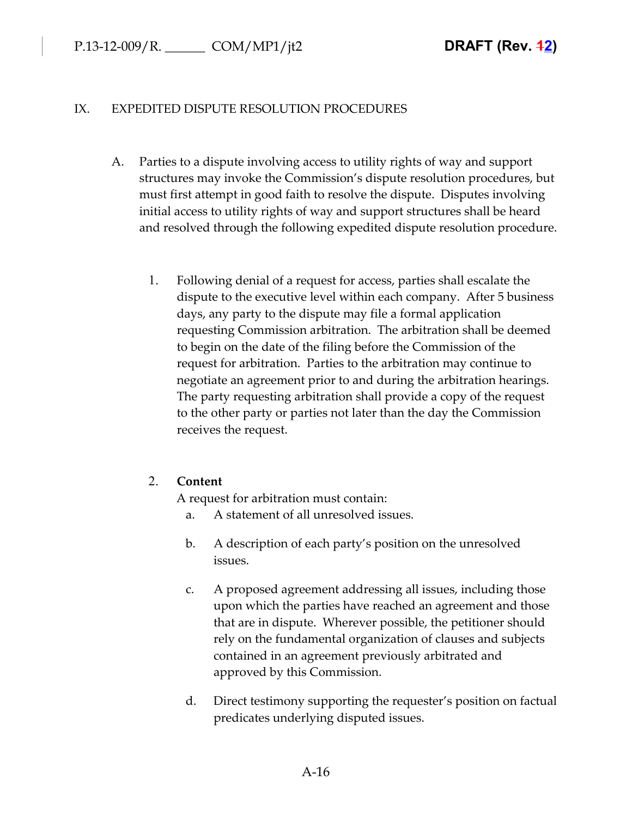### IX. EXPEDITED DISPUTE RESOLUTION PROCEDURES

- A. Parties to a dispute involving access to utility rights of way and support structures may invoke the Commission's dispute resolution procedures, but must first attempt in good faith to resolve the dispute. Disputes involving initial access to utility rights of way and support structures shall be heard and resolved through the following expedited dispute resolution procedure.
	- 1. Following denial of a request for access, parties shall escalate the dispute to the executive level within each company. After 5 business days, any party to the dispute may file a formal application requesting Commission arbitration. The arbitration shall be deemed to begin on the date of the filing before the Commission of the request for arbitration. Parties to the arbitration may continue to negotiate an agreement prior to and during the arbitration hearings. The party requesting arbitration shall provide a copy of the request to the other party or parties not later than the day the Commission receives the request.

# 2. **Content**

A request for arbitration must contain:

- a. A statement of all unresolved issues.
- b. A description of each party's position on the unresolved issues.
- c. A proposed agreement addressing all issues, including those upon which the parties have reached an agreement and those that are in dispute. Wherever possible, the petitioner should rely on the fundamental organization of clauses and subjects contained in an agreement previously arbitrated and approved by this Commission.
- d. Direct testimony supporting the requester's position on factual predicates underlying disputed issues.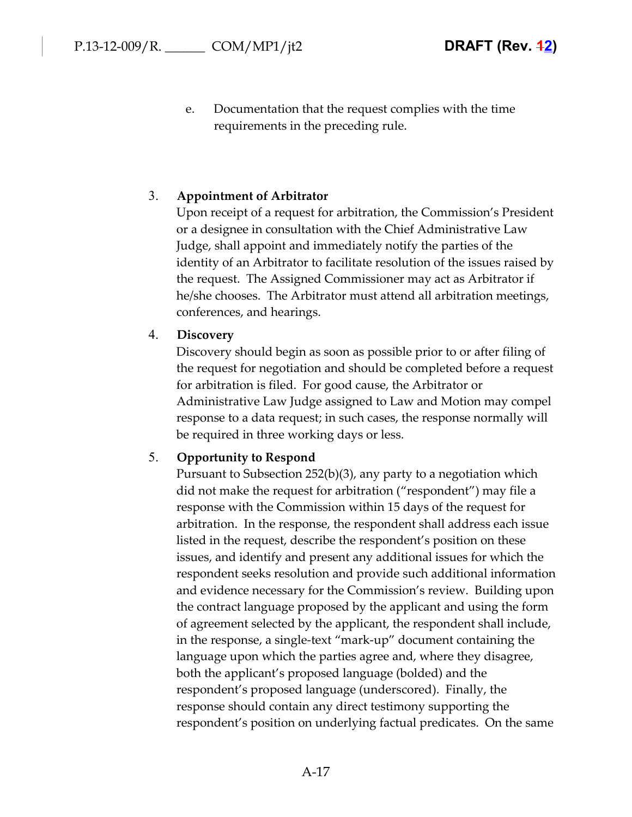e. Documentation that the request complies with the time requirements in the preceding rule.

#### 3. **Appointment of Arbitrator**

Upon receipt of a request for arbitration, the Commission's President or a designee in consultation with the Chief Administrative Law Judge, shall appoint and immediately notify the parties of the identity of an Arbitrator to facilitate resolution of the issues raised by the request. The Assigned Commissioner may act as Arbitrator if he/she chooses. The Arbitrator must attend all arbitration meetings, conferences, and hearings.

#### 4. **Discovery**

Discovery should begin as soon as possible prior to or after filing of the request for negotiation and should be completed before a request for arbitration is filed. For good cause, the Arbitrator or Administrative Law Judge assigned to Law and Motion may compel response to a data request; in such cases, the response normally will be required in three working days or less.

#### 5. **Opportunity to Respond**

Pursuant to Subsection 252(b)(3), any party to a negotiation which did not make the request for arbitration ("respondent") may file a response with the Commission within 15 days of the request for arbitration. In the response, the respondent shall address each issue listed in the request, describe the respondent's position on these issues, and identify and present any additional issues for which the respondent seeks resolution and provide such additional information and evidence necessary for the Commission's review. Building upon the contract language proposed by the applicant and using the form of agreement selected by the applicant, the respondent shall include, in the response, a single-text "mark-up" document containing the language upon which the parties agree and, where they disagree, both the applicant's proposed language (bolded) and the respondent's proposed language (underscored). Finally, the response should contain any direct testimony supporting the respondent's position on underlying factual predicates. On the same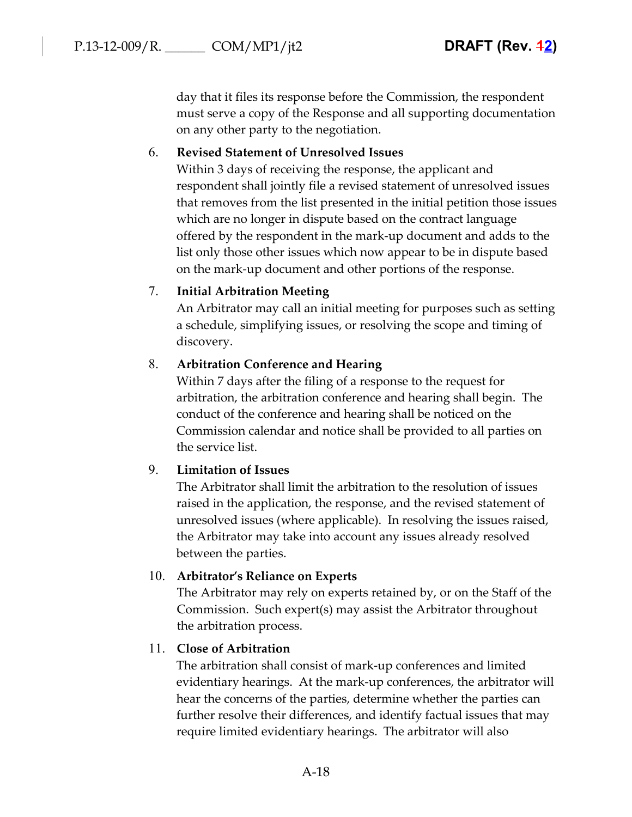day that it files its response before the Commission, the respondent must serve a copy of the Response and all supporting documentation on any other party to the negotiation.

### 6. **Revised Statement of Unresolved Issues**

Within 3 days of receiving the response, the applicant and respondent shall jointly file a revised statement of unresolved issues that removes from the list presented in the initial petition those issues which are no longer in dispute based on the contract language offered by the respondent in the mark-up document and adds to the list only those other issues which now appear to be in dispute based on the mark-up document and other portions of the response.

### 7. **Initial Arbitration Meeting**

An Arbitrator may call an initial meeting for purposes such as setting a schedule, simplifying issues, or resolving the scope and timing of discovery.

### 8. **Arbitration Conference and Hearing**

Within 7 days after the filing of a response to the request for arbitration, the arbitration conference and hearing shall begin. The conduct of the conference and hearing shall be noticed on the Commission calendar and notice shall be provided to all parties on the service list.

### 9. **Limitation of Issues**

The Arbitrator shall limit the arbitration to the resolution of issues raised in the application, the response, and the revised statement of unresolved issues (where applicable). In resolving the issues raised, the Arbitrator may take into account any issues already resolved between the parties.

# 10. **Arbitrator's Reliance on Experts**

The Arbitrator may rely on experts retained by, or on the Staff of the Commission. Such expert(s) may assist the Arbitrator throughout the arbitration process.

### 11. **Close of Arbitration**

The arbitration shall consist of mark-up conferences and limited evidentiary hearings. At the mark-up conferences, the arbitrator will hear the concerns of the parties, determine whether the parties can further resolve their differences, and identify factual issues that may require limited evidentiary hearings. The arbitrator will also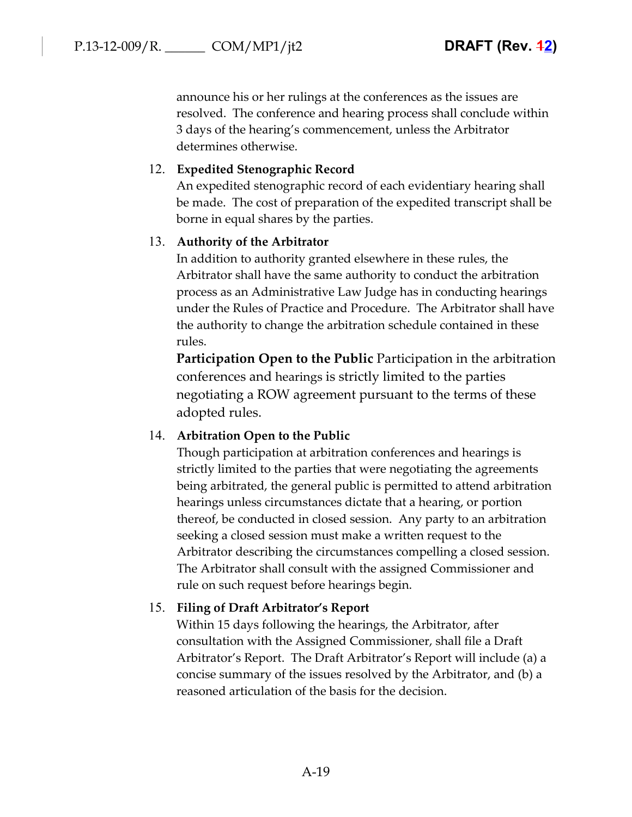announce his or her rulings at the conferences as the issues are resolved. The conference and hearing process shall conclude within 3 days of the hearing's commencement, unless the Arbitrator determines otherwise.

## 12. **Expedited Stenographic Record**

An expedited stenographic record of each evidentiary hearing shall be made. The cost of preparation of the expedited transcript shall be borne in equal shares by the parties.

### 13. **Authority of the Arbitrator**

In addition to authority granted elsewhere in these rules, the Arbitrator shall have the same authority to conduct the arbitration process as an Administrative Law Judge has in conducting hearings under the Rules of Practice and Procedure. The Arbitrator shall have the authority to change the arbitration schedule contained in these rules.

**Participation Open to the Public** Participation in the arbitration conferences and hearings is strictly limited to the parties negotiating a ROW agreement pursuant to the terms of these adopted rules.

### 14. **Arbitration Open to the Public**

Though participation at arbitration conferences and hearings is strictly limited to the parties that were negotiating the agreements being arbitrated, the general public is permitted to attend arbitration hearings unless circumstances dictate that a hearing, or portion thereof, be conducted in closed session. Any party to an arbitration seeking a closed session must make a written request to the Arbitrator describing the circumstances compelling a closed session. The Arbitrator shall consult with the assigned Commissioner and rule on such request before hearings begin.

### 15. **Filing of Draft Arbitrator's Report**

Within 15 days following the hearings, the Arbitrator, after consultation with the Assigned Commissioner, shall file a Draft Arbitrator's Report. The Draft Arbitrator's Report will include (a) a concise summary of the issues resolved by the Arbitrator, and (b) a reasoned articulation of the basis for the decision.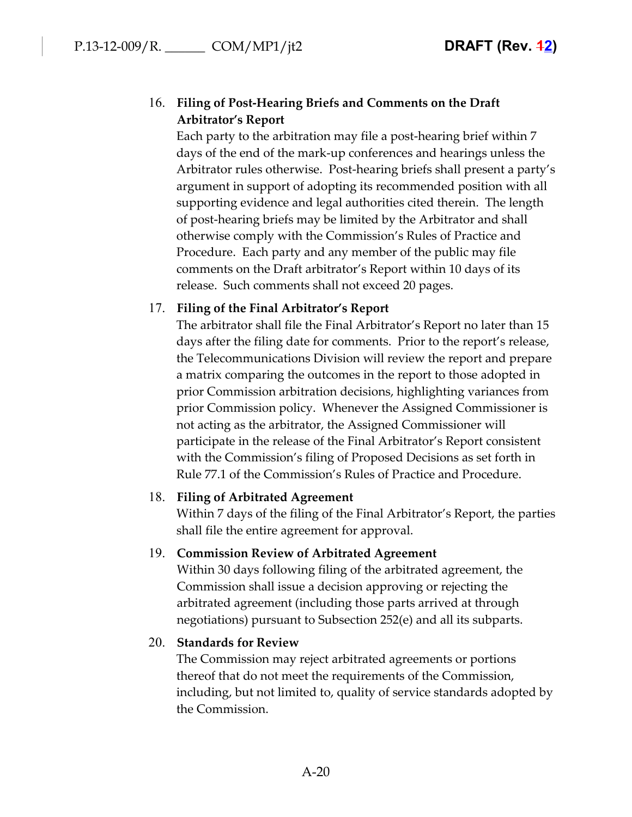# 16. **Filing of Post-Hearing Briefs and Comments on the Draft Arbitrator's Report**

Each party to the arbitration may file a post-hearing brief within 7 days of the end of the mark-up conferences and hearings unless the Arbitrator rules otherwise. Post-hearing briefs shall present a party's argument in support of adopting its recommended position with all supporting evidence and legal authorities cited therein. The length of post-hearing briefs may be limited by the Arbitrator and shall otherwise comply with the Commission's Rules of Practice and Procedure. Each party and any member of the public may file comments on the Draft arbitrator's Report within 10 days of its release. Such comments shall not exceed 20 pages.

### 17. **Filing of the Final Arbitrator's Report**

The arbitrator shall file the Final Arbitrator's Report no later than 15 days after the filing date for comments. Prior to the report's release, the Telecommunications Division will review the report and prepare a matrix comparing the outcomes in the report to those adopted in prior Commission arbitration decisions, highlighting variances from prior Commission policy. Whenever the Assigned Commissioner is not acting as the arbitrator, the Assigned Commissioner will participate in the release of the Final Arbitrator's Report consistent with the Commission's filing of Proposed Decisions as set forth in Rule 77.1 of the Commission's Rules of Practice and Procedure.

### 18. **Filing of Arbitrated Agreement**

Within 7 days of the filing of the Final Arbitrator's Report, the parties shall file the entire agreement for approval.

# 19. **Commission Review of Arbitrated Agreement**

Within 30 days following filing of the arbitrated agreement, the Commission shall issue a decision approving or rejecting the arbitrated agreement (including those parts arrived at through negotiations) pursuant to Subsection 252(e) and all its subparts.

# 20. **Standards for Review**

The Commission may reject arbitrated agreements or portions thereof that do not meet the requirements of the Commission, including, but not limited to, quality of service standards adopted by the Commission.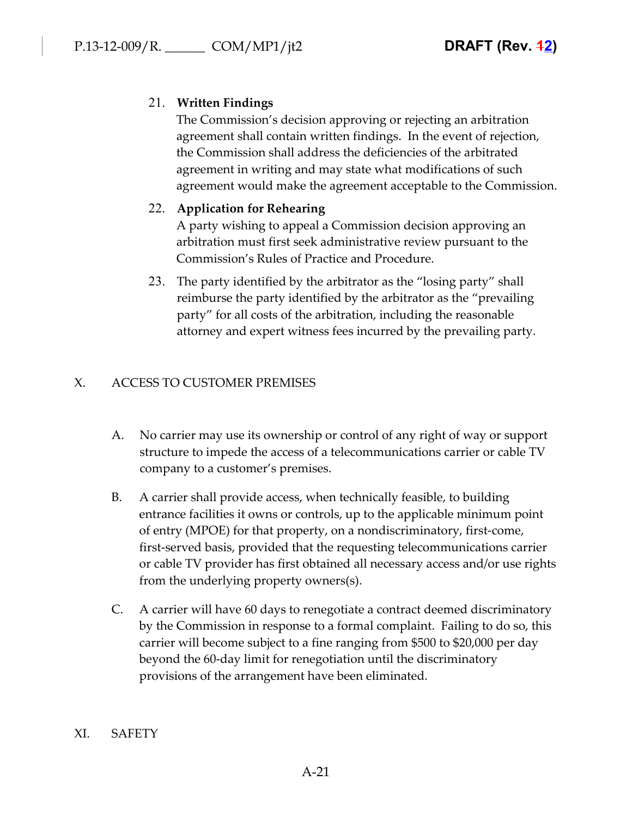# 21. **Written Findings**

The Commission's decision approving or rejecting an arbitration agreement shall contain written findings. In the event of rejection, the Commission shall address the deficiencies of the arbitrated agreement in writing and may state what modifications of such agreement would make the agreement acceptable to the Commission.

## 22. **Application for Rehearing**

A party wishing to appeal a Commission decision approving an arbitration must first seek administrative review pursuant to the Commission's Rules of Practice and Procedure.

23. The party identified by the arbitrator as the "losing party" shall reimburse the party identified by the arbitrator as the "prevailing party" for all costs of the arbitration, including the reasonable attorney and expert witness fees incurred by the prevailing party.

# X. ACCESS TO CUSTOMER PREMISES

- A. No carrier may use its ownership or control of any right of way or support structure to impede the access of a telecommunications carrier or cable TV company to a customer's premises.
- B. A carrier shall provide access, when technically feasible, to building entrance facilities it owns or controls, up to the applicable minimum point of entry (MPOE) for that property, on a nondiscriminatory, first-come, first-served basis, provided that the requesting telecommunications carrier or cable TV provider has first obtained all necessary access and/or use rights from the underlying property owners(s).
- C. A carrier will have 60 days to renegotiate a contract deemed discriminatory by the Commission in response to a formal complaint. Failing to do so, this carrier will become subject to a fine ranging from \$500 to \$20,000 per day beyond the 60-day limit for renegotiation until the discriminatory provisions of the arrangement have been eliminated.

### XI. SAFETY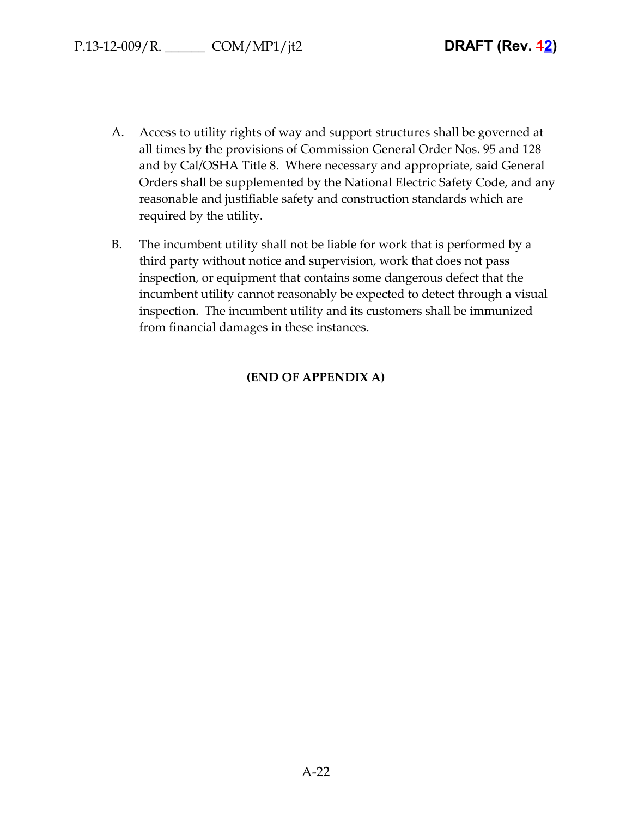- A. Access to utility rights of way and support structures shall be governed at all times by the provisions of Commission General Order Nos. 95 and 128 and by Cal/OSHA Title 8. Where necessary and appropriate, said General Orders shall be supplemented by the National Electric Safety Code, and any reasonable and justifiable safety and construction standards which are required by the utility.
- B. The incumbent utility shall not be liable for work that is performed by a third party without notice and supervision, work that does not pass inspection, or equipment that contains some dangerous defect that the incumbent utility cannot reasonably be expected to detect through a visual inspection. The incumbent utility and its customers shall be immunized from financial damages in these instances.

# **(END OF APPENDIX A)**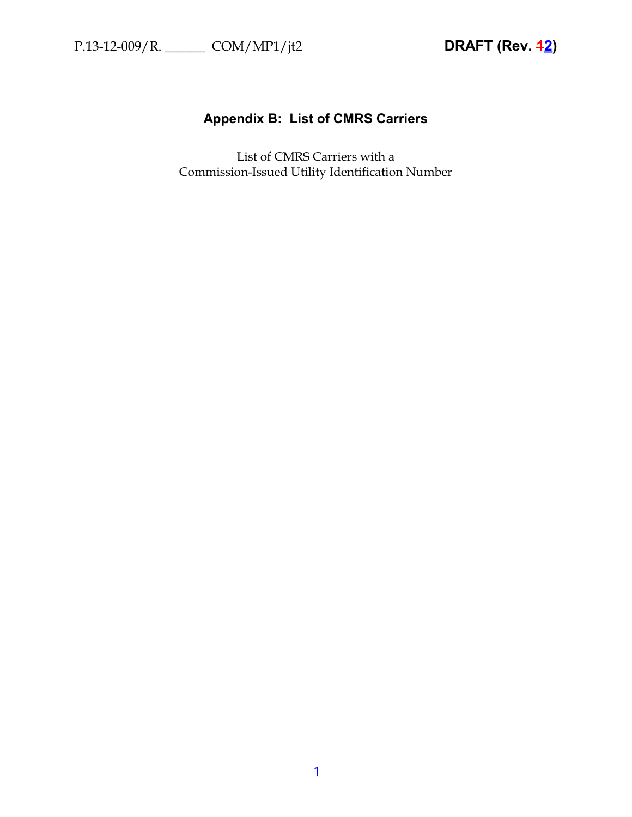# **Appendix B: List of CMRS Carriers**

List of CMRS Carriers with a Commission-Issued Utility Identification Number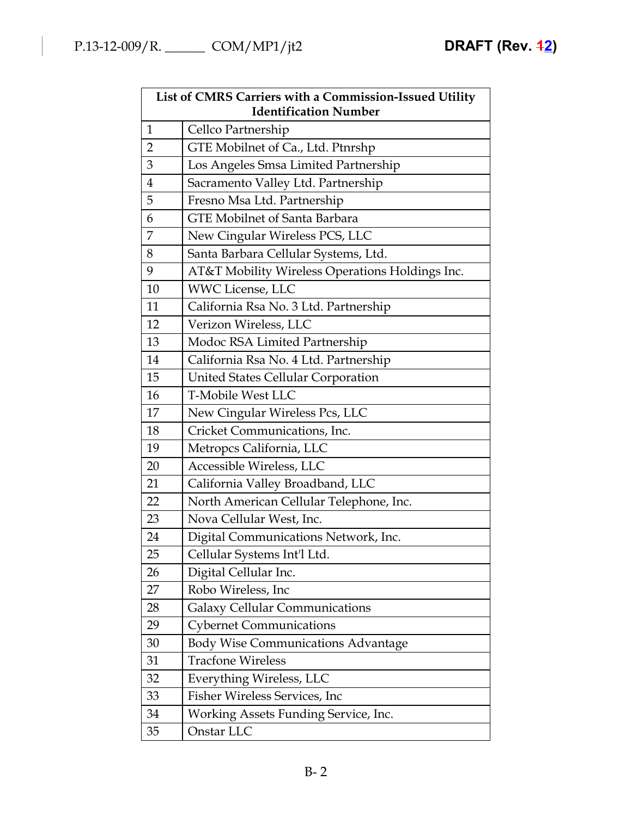| List of CMRS Carriers with a Commission-Issued Utility<br><b>Identification Number</b> |                                                 |  |
|----------------------------------------------------------------------------------------|-------------------------------------------------|--|
| $\mathbf{1}$                                                                           | Cellco Partnership                              |  |
| $\overline{2}$                                                                         | GTE Mobilnet of Ca., Ltd. Ptnrshp               |  |
| 3                                                                                      | Los Angeles Smsa Limited Partnership            |  |
| $\overline{4}$                                                                         | Sacramento Valley Ltd. Partnership              |  |
| 5                                                                                      | Fresno Msa Ltd. Partnership                     |  |
| 6                                                                                      | <b>GTE Mobilnet of Santa Barbara</b>            |  |
| 7                                                                                      | New Cingular Wireless PCS, LLC                  |  |
| 8                                                                                      | Santa Barbara Cellular Systems, Ltd.            |  |
| 9                                                                                      | AT&T Mobility Wireless Operations Holdings Inc. |  |
| 10                                                                                     | <b>WWC License, LLC</b>                         |  |
| 11                                                                                     | California Rsa No. 3 Ltd. Partnership           |  |
| 12                                                                                     | Verizon Wireless, LLC                           |  |
| 13                                                                                     | Modoc RSA Limited Partnership                   |  |
| 14                                                                                     | California Rsa No. 4 Ltd. Partnership           |  |
| 15                                                                                     | United States Cellular Corporation              |  |
| 16                                                                                     | <b>T-Mobile West LLC</b>                        |  |
| 17                                                                                     | New Cingular Wireless Pcs, LLC                  |  |
| 18                                                                                     | Cricket Communications, Inc.                    |  |
| 19                                                                                     | Metropcs California, LLC                        |  |
| 20                                                                                     | Accessible Wireless, LLC                        |  |
| 21                                                                                     | California Valley Broadband, LLC                |  |
| 22                                                                                     | North American Cellular Telephone, Inc.         |  |
| 23                                                                                     | Nova Cellular West, Inc.                        |  |
| 24                                                                                     | Digital Communications Network, Inc.            |  |
| 25                                                                                     | Cellular Systems Int'l Ltd.                     |  |
| 26                                                                                     | Digital Cellular Inc.                           |  |
| 27                                                                                     | Robo Wireless, Inc.                             |  |
| 28                                                                                     | <b>Galaxy Cellular Communications</b>           |  |
| 29                                                                                     | <b>Cybernet Communications</b>                  |  |
| 30                                                                                     | <b>Body Wise Communications Advantage</b>       |  |
| 31                                                                                     | <b>Tracfone Wireless</b>                        |  |
| 32                                                                                     | Everything Wireless, LLC                        |  |
| 33                                                                                     | Fisher Wireless Services, Inc.                  |  |
| 34                                                                                     | Working Assets Funding Service, Inc.            |  |
| 35                                                                                     | Onstar LLC                                      |  |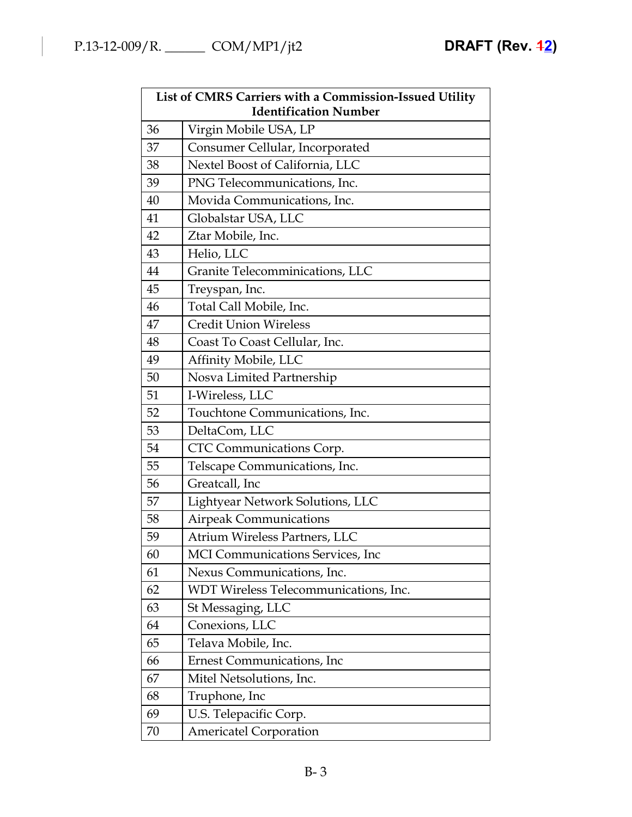| List of CMRS Carriers with a Commission-Issued Utility<br><b>Identification Number</b> |                                       |  |
|----------------------------------------------------------------------------------------|---------------------------------------|--|
| 36                                                                                     | Virgin Mobile USA, LP                 |  |
| 37                                                                                     | Consumer Cellular, Incorporated       |  |
| 38                                                                                     | Nextel Boost of California, LLC       |  |
| 39                                                                                     | PNG Telecommunications, Inc.          |  |
| 40                                                                                     | Movida Communications, Inc.           |  |
| 41                                                                                     | Globalstar USA, LLC                   |  |
| 42                                                                                     | Ztar Mobile, Inc.                     |  |
| 43                                                                                     | Helio, LLC                            |  |
| 44                                                                                     | Granite Telecomminications, LLC       |  |
| 45                                                                                     | Treyspan, Inc.                        |  |
| 46                                                                                     | Total Call Mobile, Inc.               |  |
| 47                                                                                     | <b>Credit Union Wireless</b>          |  |
| 48                                                                                     | Coast To Coast Cellular, Inc.         |  |
| 49                                                                                     | Affinity Mobile, LLC                  |  |
| 50                                                                                     | Nosva Limited Partnership             |  |
| 51                                                                                     | I-Wireless, LLC                       |  |
| 52                                                                                     | Touchtone Communications, Inc.        |  |
| 53                                                                                     | DeltaCom, LLC                         |  |
| 54                                                                                     | CTC Communications Corp.              |  |
| 55                                                                                     | Telscape Communications, Inc.         |  |
| 56                                                                                     | Greatcall, Inc                        |  |
| 57                                                                                     | Lightyear Network Solutions, LLC      |  |
| 58                                                                                     | <b>Airpeak Communications</b>         |  |
| 59                                                                                     | Atrium Wireless Partners, LLC         |  |
| 60                                                                                     | MCI Communications Services, Inc      |  |
| 61                                                                                     | Nexus Communications, Inc.            |  |
| 62                                                                                     | WDT Wireless Telecommunications, Inc. |  |
| 63                                                                                     | St Messaging, LLC                     |  |
| 64                                                                                     | Conexions, LLC                        |  |
| 65                                                                                     | Telava Mobile, Inc.                   |  |
| 66                                                                                     | <b>Ernest Communications, Inc.</b>    |  |
| 67                                                                                     | Mitel Netsolutions, Inc.              |  |
| 68                                                                                     | Truphone, Inc                         |  |
| 69                                                                                     | U.S. Telepacific Corp.                |  |
| 70                                                                                     | <b>Americatel Corporation</b>         |  |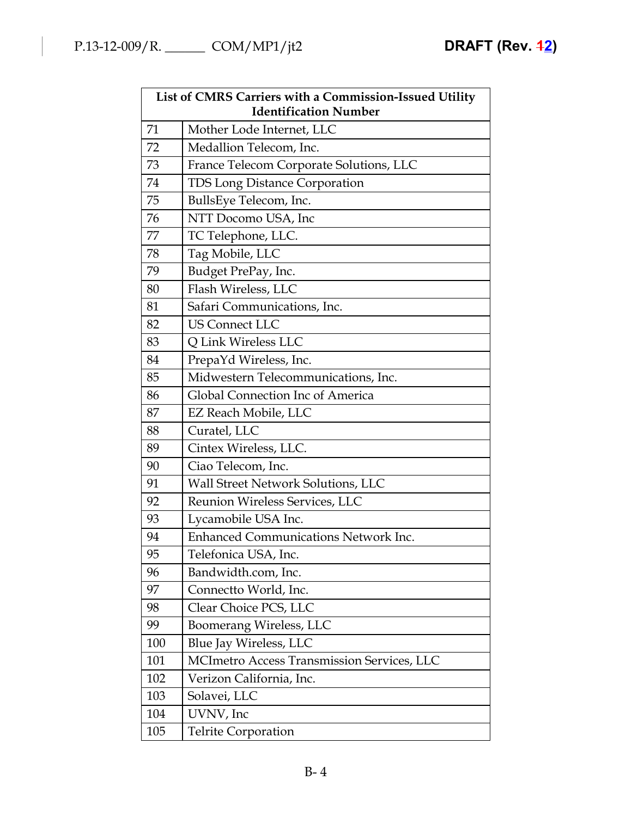| List of CMRS Carriers with a Commission-Issued Utility<br><b>Identification Number</b> |                                             |  |
|----------------------------------------------------------------------------------------|---------------------------------------------|--|
| 71                                                                                     | Mother Lode Internet, LLC                   |  |
| 72                                                                                     | Medallion Telecom, Inc.                     |  |
| 73                                                                                     | France Telecom Corporate Solutions, LLC     |  |
| 74                                                                                     | TDS Long Distance Corporation               |  |
| 75                                                                                     | BullsEye Telecom, Inc.                      |  |
| 76                                                                                     | NTT Docomo USA, Inc                         |  |
| 77                                                                                     | TC Telephone, LLC.                          |  |
| 78                                                                                     | Tag Mobile, LLC                             |  |
| 79                                                                                     | Budget PrePay, Inc.                         |  |
| 80                                                                                     | Flash Wireless, LLC                         |  |
| 81                                                                                     | Safari Communications, Inc.                 |  |
| 82                                                                                     | <b>US Connect LLC</b>                       |  |
| 83                                                                                     | Q Link Wireless LLC                         |  |
| 84                                                                                     | PrepaYd Wireless, Inc.                      |  |
| 85                                                                                     | Midwestern Telecommunications, Inc.         |  |
| 86                                                                                     | Global Connection Inc of America            |  |
| 87                                                                                     | EZ Reach Mobile, LLC                        |  |
| 88                                                                                     | Curatel, LLC                                |  |
| 89                                                                                     | Cintex Wireless, LLC.                       |  |
| 90                                                                                     | Ciao Telecom, Inc.                          |  |
| 91                                                                                     | Wall Street Network Solutions, LLC          |  |
| 92                                                                                     | Reunion Wireless Services, LLC              |  |
| 93                                                                                     | Lycamobile USA Inc.                         |  |
| 94                                                                                     | <b>Enhanced Communications Network Inc.</b> |  |
| 95                                                                                     | Telefonica USA, Inc.                        |  |
| 96                                                                                     | Bandwidth.com, Inc.                         |  |
| 97                                                                                     | Connectto World, Inc.                       |  |
| 98                                                                                     | Clear Choice PCS, LLC                       |  |
| 99                                                                                     | Boomerang Wireless, LLC                     |  |
| 100                                                                                    | Blue Jay Wireless, LLC                      |  |
| 101                                                                                    | MCImetro Access Transmission Services, LLC  |  |
| 102                                                                                    | Verizon California, Inc.                    |  |
| 103                                                                                    | Solavei, LLC                                |  |
| 104                                                                                    | UVNV, Inc                                   |  |
| 105                                                                                    | <b>Telrite Corporation</b>                  |  |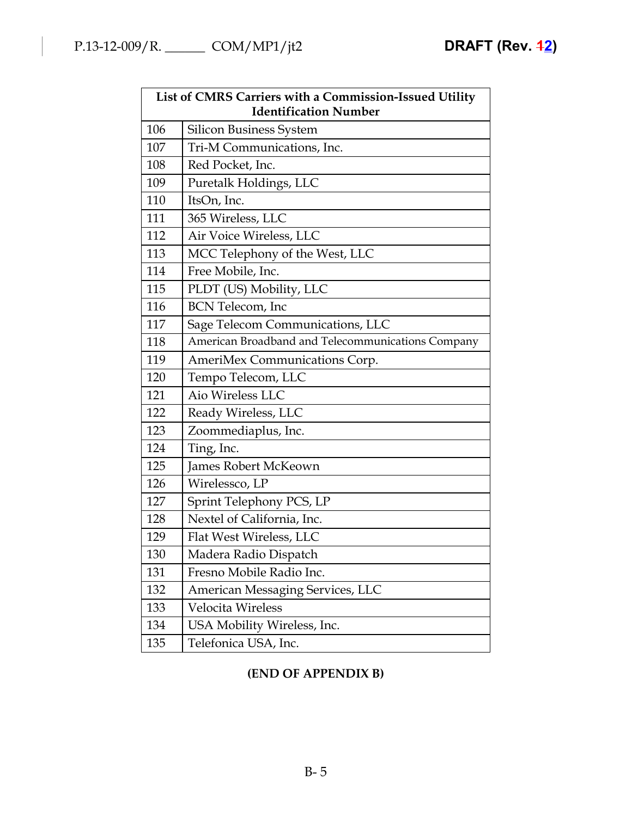| List of CMRS Carriers with a Commission-Issued Utility<br><b>Identification Number</b> |                                                   |  |
|----------------------------------------------------------------------------------------|---------------------------------------------------|--|
| 106                                                                                    | <b>Silicon Business System</b>                    |  |
| 107                                                                                    | Tri-M Communications, Inc.                        |  |
| 108                                                                                    | Red Pocket, Inc.                                  |  |
| 109                                                                                    | Puretalk Holdings, LLC                            |  |
| 110                                                                                    | ItsOn, Inc.                                       |  |
| 111                                                                                    | 365 Wireless, LLC                                 |  |
| 112                                                                                    | Air Voice Wireless, LLC                           |  |
| 113                                                                                    | MCC Telephony of the West, LLC                    |  |
| 114                                                                                    | Free Mobile, Inc.                                 |  |
| 115                                                                                    | PLDT (US) Mobility, LLC                           |  |
| 116                                                                                    | <b>BCN</b> Telecom, Inc                           |  |
| 117                                                                                    | Sage Telecom Communications, LLC                  |  |
| 118                                                                                    | American Broadband and Telecommunications Company |  |
| 119                                                                                    | AmeriMex Communications Corp.                     |  |
| 120                                                                                    | Tempo Telecom, LLC                                |  |
| 121                                                                                    | Aio Wireless LLC                                  |  |
| 122                                                                                    | Ready Wireless, LLC                               |  |
| 123                                                                                    | Zoommediaplus, Inc.                               |  |
| 124                                                                                    | Ting, Inc.                                        |  |
| 125                                                                                    | James Robert McKeown                              |  |
| 126                                                                                    | Wirelessco, LP                                    |  |
| 127                                                                                    | Sprint Telephony PCS, LP                          |  |
| 128                                                                                    | Nextel of California, Inc.                        |  |
| 129                                                                                    | Flat West Wireless, LLC                           |  |
| 130                                                                                    | Madera Radio Dispatch                             |  |
| 131                                                                                    | Fresno Mobile Radio Inc.                          |  |
|                                                                                        |                                                   |  |
| 132                                                                                    | American Messaging Services, LLC                  |  |
| 133                                                                                    | Velocita Wireless                                 |  |
| 134                                                                                    | USA Mobility Wireless, Inc.                       |  |
| 135                                                                                    | Telefonica USA, Inc.                              |  |

# **(END OF APPENDIX B)**